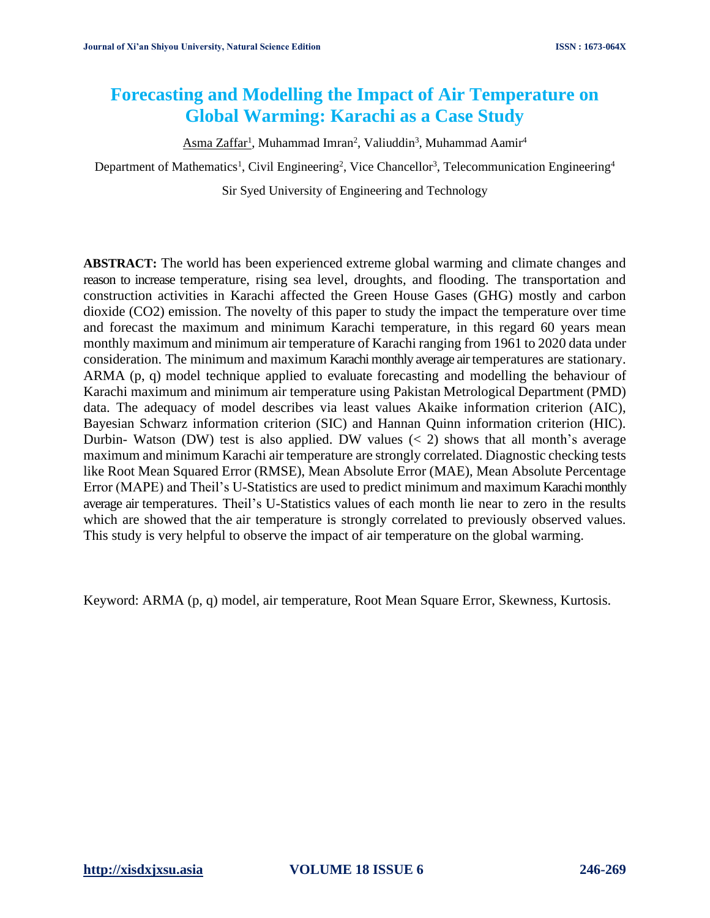# **Forecasting and Modelling the Impact of Air Temperature on Global Warming: Karachi as a Case Study**

Asma Zaffar<sup>1</sup>, Muhammad Imran<sup>2</sup>, Valiuddin<sup>3</sup>, Muhammad Aamir<sup>4</sup>

Department of Mathematics<sup>1</sup>, Civil Engineering<sup>2</sup>, Vice Chancellor<sup>3</sup>, Telecommunication Engineering<sup>4</sup>

Sir Syed University of Engineering and Technology

**ABSTRACT:** The world has been experienced extreme global warming and climate changes and reason to increase temperature, rising sea level, droughts, and flooding. The transportation and construction activities in Karachi affected the Green House Gases (GHG) mostly and carbon dioxide (CO2) emission. The novelty of this paper to study the impact the temperature over time and forecast the maximum and minimum Karachi temperature, in this regard 60 years mean monthly maximum and minimum air temperature of Karachi ranging from 1961 to 2020 data under consideration. The minimum and maximum Karachimonthly average air temperatures are stationary. ARMA (p, q) model technique applied to evaluate forecasting and modelling the behaviour of Karachi maximum and minimum air temperature using Pakistan Metrological Department (PMD) data. The adequacy of model describes via least values Akaike information criterion (AIC), Bayesian Schwarz information criterion (SIC) and Hannan Quinn information criterion (HIC). Durbin- Watson (DW) test is also applied. DW values  $\langle \langle 2 \rangle$  shows that all month's average maximum and minimum Karachi air temperature are strongly correlated. Diagnostic checking tests like Root Mean Squared Error (RMSE), Mean Absolute Error (MAE), Mean Absolute Percentage Error (MAPE) and Theil's U-Statistics are used to predict minimum and maximum Karachi monthly average air temperatures. Theil's U-Statistics values of each month lie near to zero in the results which are showed that the air temperature is strongly correlated to previously observed values. This study is very helpful to observe the impact of air temperature on the global warming.

Keyword: ARMA (p, q) model, air temperature, Root Mean Square Error, Skewness, Kurtosis.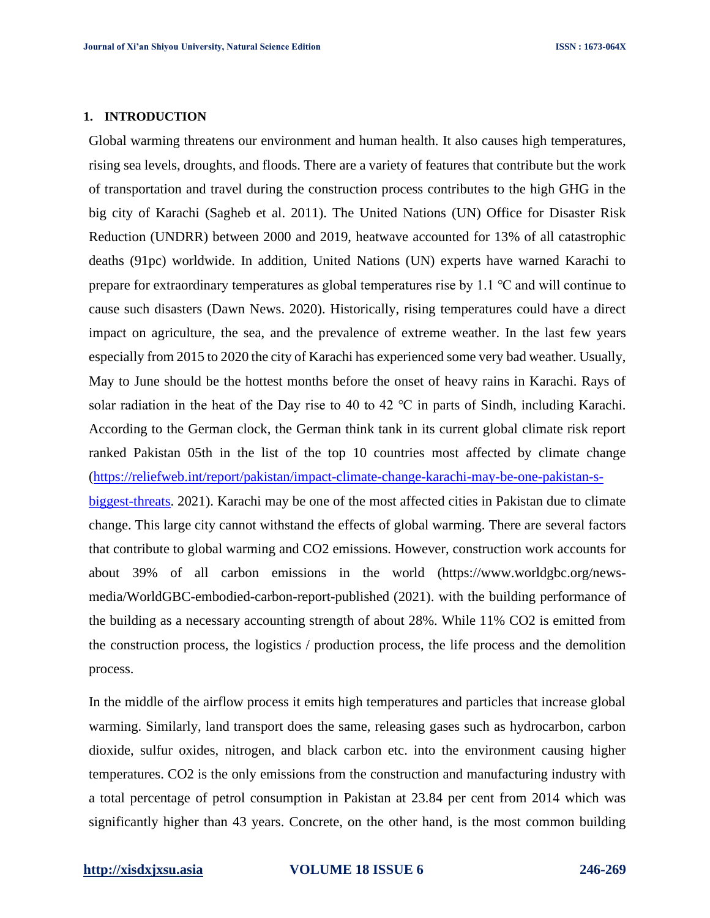### **1. INTRODUCTION**

Global warming threatens our environment and human health. It also causes high temperatures, rising sea levels, droughts, and floods. There are a variety of features that contribute but the work of transportation and travel during the construction process contributes to the high GHG in the big city of Karachi (Sagheb et al. 2011). The United Nations (UN) Office for Disaster Risk Reduction (UNDRR) between 2000 and 2019, heatwave accounted for 13% of all catastrophic deaths (91pc) worldwide. In addition, United Nations (UN) experts have warned Karachi to prepare for extraordinary temperatures as global temperatures rise by 1.1 ℃ and will continue to cause such disasters (Dawn News. 2020). Historically, rising temperatures could have a direct impact on agriculture, the sea, and the prevalence of extreme weather. In the last few years especially from 2015 to 2020 the city of Karachi has experienced some very bad weather. Usually, May to June should be the hottest months before the onset of heavy rains in Karachi. Rays of solar radiation in the heat of the Day rise to 40 to 42 ℃ in parts of Sindh, including Karachi. According to the German clock, the German think tank in its current global climate risk report ranked Pakistan 05th in the list of the top 10 countries most affected by climate change [\(https://reliefweb.int/report/pakistan/impact-climate-change-karachi-may-be-one-pakistan-s](https://reliefweb.int/report/pakistan/impact-climate-change-karachi-may-be-one-pakistan-s-biggest-threats)[biggest-threats.](https://reliefweb.int/report/pakistan/impact-climate-change-karachi-may-be-one-pakistan-s-biggest-threats) 2021). Karachi may be one of the most affected cities in Pakistan due to climate change. This large city cannot withstand the effects of global warming. There are several factors that contribute to global warming and CO2 emissions. However, construction work accounts for about 39% of all carbon emissions in the world (https://www.worldgbc.org/newsmedia/WorldGBC-embodied-carbon-report-published (2021). with the building performance of the building as a necessary accounting strength of about 28%. While 11% CO2 is emitted from the construction process, the logistics / production process, the life process and the demolition

In the middle of the airflow process it emits high temperatures and particles that increase global warming. Similarly, land transport does the same, releasing gases such as hydrocarbon, carbon dioxide, sulfur oxides, nitrogen, and black carbon etc. into the environment causing higher temperatures. CO2 is the only emissions from the construction and manufacturing industry with a total percentage of petrol consumption in Pakistan at 23.84 per cent from 2014 which was significantly higher than 43 years. Concrete, on the other hand, is the most common building

process.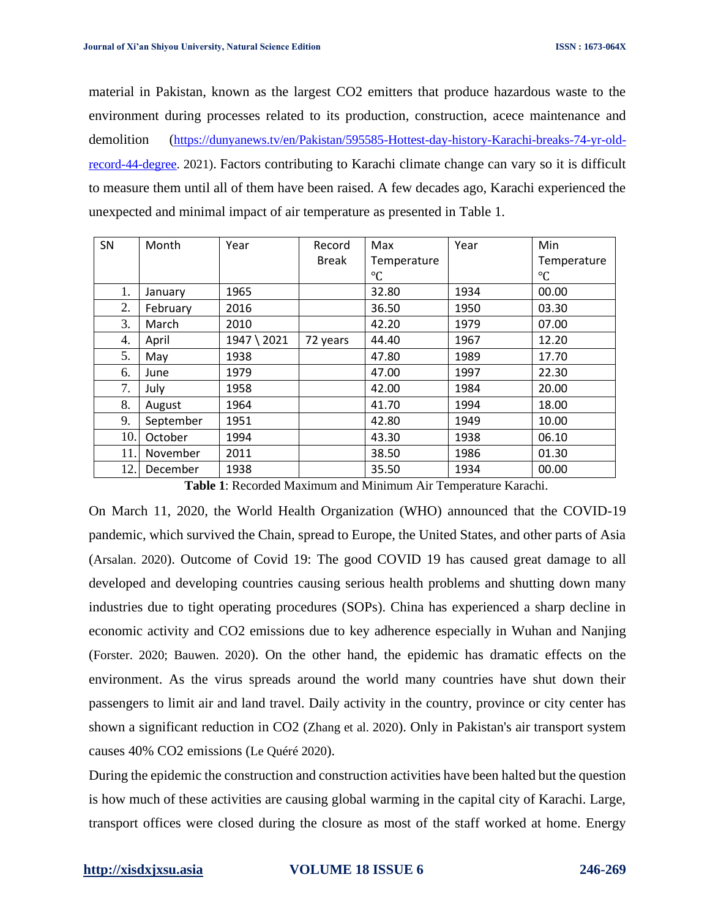material in Pakistan, known as the largest CO2 emitters that produce hazardous waste to the environment during processes related to its production, construction, acece maintenance and demolition ([https://dunyanews.tv/en/Pakistan/595585-Hottest-day-history-Karachi-breaks-74-yr-old](https://dunyanews.tv/en/Pakistan/595585-Hottest-day-history-Karachi-breaks-74-yr-old-record-44-degree)[record-44-degree.](https://dunyanews.tv/en/Pakistan/595585-Hottest-day-history-Karachi-breaks-74-yr-old-record-44-degree) 2021). Factors contributing to Karachi climate change can vary so it is difficult to measure them until all of them have been raised. A few decades ago, Karachi experienced the unexpected and minimal impact of air temperature as presented in Table 1.

| SN  | Month     | Year        | Record       | Max             | Year | Min         |
|-----|-----------|-------------|--------------|-----------------|------|-------------|
|     |           |             | <b>Break</b> | Temperature     |      | Temperature |
|     |           |             |              | $\rm ^{\circ}C$ |      | °C          |
| 1.  | January   | 1965        |              | 32.80           | 1934 | 00.00       |
| 2.  | February  | 2016        |              | 36.50           | 1950 | 03.30       |
| 3.  | March     | 2010        |              | 42.20           | 1979 | 07.00       |
| 4.  | April     | 1947 \ 2021 | 72 years     | 44.40           | 1967 | 12.20       |
| 5.  | May       | 1938        |              | 47.80           | 1989 | 17.70       |
| 6.  | June      | 1979        |              | 47.00           | 1997 | 22.30       |
| 7.  | July      | 1958        |              | 42.00           | 1984 | 20.00       |
| 8.  | August    | 1964        |              | 41.70           | 1994 | 18.00       |
| 9.  | September | 1951        |              | 42.80           | 1949 | 10.00       |
| 10. | October   | 1994        |              | 43.30           | 1938 | 06.10       |
| 11. | November  | 2011        |              | 38.50           | 1986 | 01.30       |
| 12. | December  | 1938        |              | 35.50           | 1934 | 00.00       |

**Table 1**: Recorded Maximum and Minimum Air Temperature Karachi.

On March 11, 2020, the World Health Organization (WHO) announced that the COVID-19 pandemic, which survived the Chain, spread to Europe, the United States, and other parts of Asia (Arsalan. 2020). Outcome of Covid 19: The good COVID 19 has caused great damage to all developed and developing countries causing serious health problems and shutting down many industries due to tight operating procedures (SOPs). China has experienced a sharp decline in economic activity and CO2 emissions due to key adherence especially in Wuhan and Nanjing (Forster. 2020; Bauwen. 2020). On the other hand, the epidemic has dramatic effects on the environment. As the virus spreads around the world many countries have shut down their passengers to limit air and land travel. Daily activity in the country, province or city center has shown a significant reduction in CO2 (Zhang et al. 2020). Only in Pakistan's air transport system causes 40% CO2 emissions (Le Quéré 2020).

During the epidemic the construction and construction activities have been halted but the question is how much of these activities are causing global warming in the capital city of Karachi. Large, transport offices were closed during the closure as most of the staff worked at home. Energy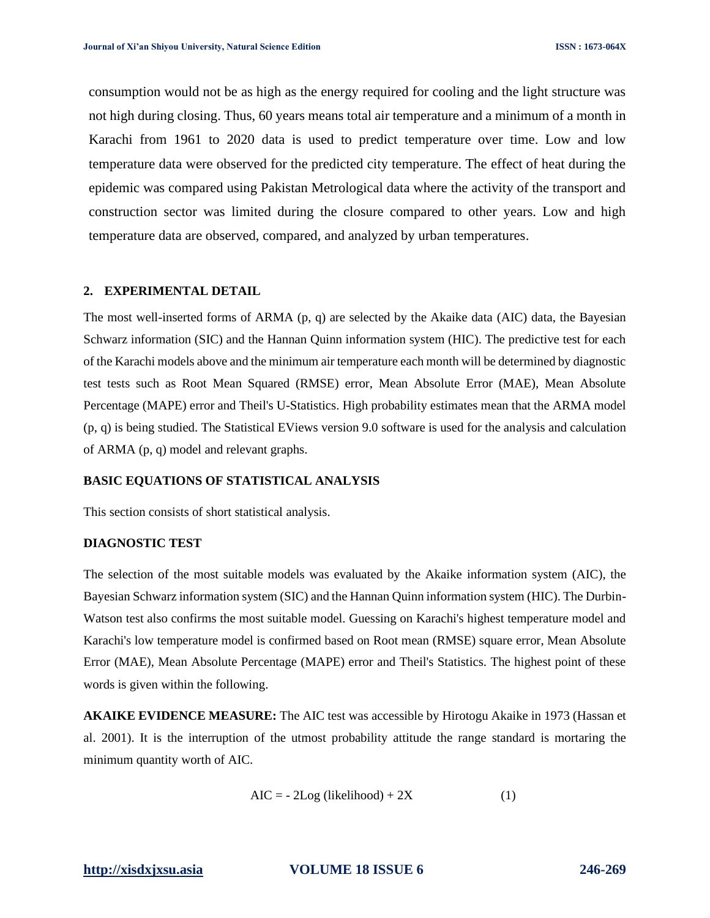consumption would not be as high as the energy required for cooling and the light structure was not high during closing. Thus, 60 years means total air temperature and a minimum of a month in Karachi from 1961 to 2020 data is used to predict temperature over time. Low and low temperature data were observed for the predicted city temperature. The effect of heat during the epidemic was compared using Pakistan Metrological data where the activity of the transport and construction sector was limited during the closure compared to other years. Low and high temperature data are observed, compared, and analyzed by urban temperatures.

### **2. EXPERIMENTAL DETAIL**

The most well-inserted forms of ARMA (p, q) are selected by the Akaike data (AIC) data, the Bayesian Schwarz information (SIC) and the Hannan Quinn information system (HIC). The predictive test for each of the Karachi models above and the minimum air temperature each month will be determined by diagnostic test tests such as Root Mean Squared (RMSE) error, Mean Absolute Error (MAE), Mean Absolute Percentage (MAPE) error and Theil's U-Statistics. High probability estimates mean that the ARMA model (p, q) is being studied. The Statistical EViews version 9.0 software is used for the analysis and calculation of ARMA (p, q) model and relevant graphs.

### **BASIC EQUATIONS OF STATISTICAL ANALYSIS**

This section consists of short statistical analysis.

# **DIAGNOSTIC TEST**

The selection of the most suitable models was evaluated by the Akaike information system (AIC), the Bayesian Schwarz information system (SIC) and the Hannan Quinn information system (HIC). The Durbin-Watson test also confirms the most suitable model. Guessing on Karachi's highest temperature model and Karachi's low temperature model is confirmed based on Root mean (RMSE) square error, Mean Absolute Error (MAE), Mean Absolute Percentage (MAPE) error and Theil's Statistics. The highest point of these words is given within the following.

**AKAIKE EVIDENCE MEASURE:** The AIC test was accessible by Hirotogu Akaike in 1973 (Hassan et al. 2001). It is the interruption of the utmost probability attitude the range standard is mortaring the minimum quantity worth of AIC.

$$
AIC = -2Log (likelihood) + 2X \tag{1}
$$

# **[http://xisdxjxsu.asia](http://xisdxjxsu.asia/) VOLUME 18 ISSUE 6 246-269**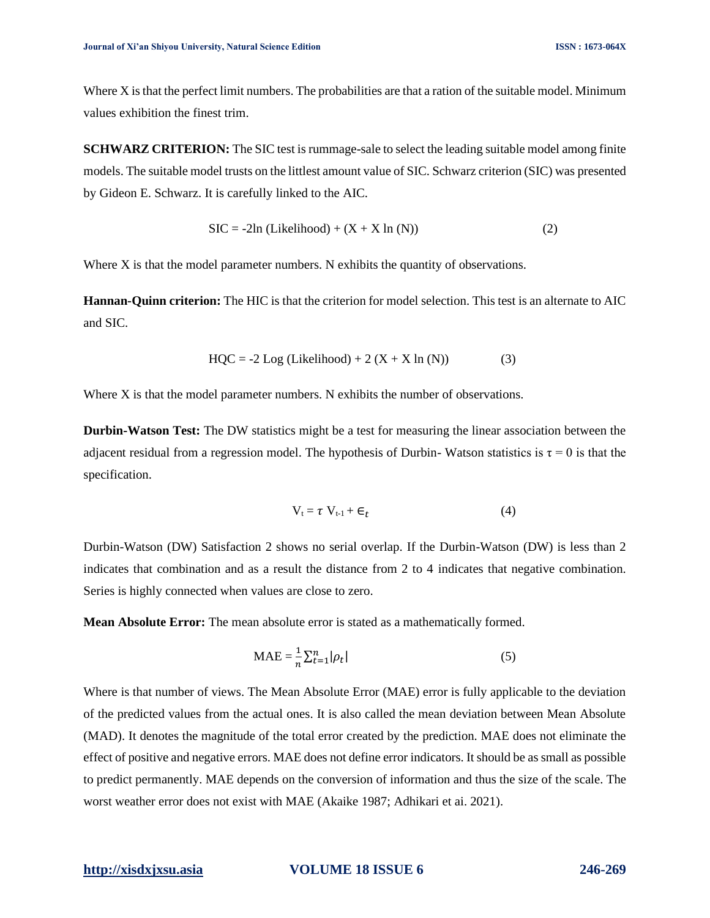Where X is that the perfect limit numbers. The probabilities are that a ration of the suitable model. Minimum values exhibition the finest trim.

**SCHWARZ CRITERION:** The SIC test is rummage-sale to select the leading suitable model among finite models. The suitable model trusts on the littlest amount value of SIC. Schwarz criterion (SIC) was presented by Gideon E. Schwarz. It is carefully linked to the AIC.

$$
SIC = -2ln (Likelihood) + (X + X ln (N))
$$
 (2)

Where X is that the model parameter numbers. N exhibits the quantity of observations.

**Hannan-Quinn criterion:** The HIC is that the criterion for model selection. This test is an alternate to AIC and SIC.

$$
HQC = -2 Log (Likelihood) + 2 (X + X \ln (N))
$$
 (3)

Where X is that the model parameter numbers. N exhibits the number of observations.

**Durbin-Watson Test:** The DW statistics might be a test for measuring the linear association between the adjacent residual from a regression model. The hypothesis of Durbin- Watson statistics is  $\tau = 0$  is that the specification.

$$
V_t = \tau V_{t-1} + \epsilon_t \tag{4}
$$

Durbin-Watson (DW) Satisfaction 2 shows no serial overlap. If the Durbin-Watson (DW) is less than 2 indicates that combination and as a result the distance from 2 to 4 indicates that negative combination. Series is highly connected when values are close to zero.

**Mean Absolute Error:** The mean absolute error is stated as a mathematically formed.

$$
MAE = \frac{1}{n} \sum_{t=1}^{n} |\rho_t|
$$
 (5)

Where is that number of views. The Mean Absolute Error (MAE) error is fully applicable to the deviation of the predicted values from the actual ones. It is also called the mean deviation between Mean Absolute (MAD). It denotes the magnitude of the total error created by the prediction. MAE does not eliminate the effect of positive and negative errors. MAE does not define error indicators. It should be as small as possible to predict permanently. MAE depends on the conversion of information and thus the size of the scale. The worst weather error does not exist with MAE (Akaike 1987; Adhikari et ai. 2021).

### **[http://xisdxjxsu.asia](http://xisdxjxsu.asia/) VOLUME 18 ISSUE 6 246-269**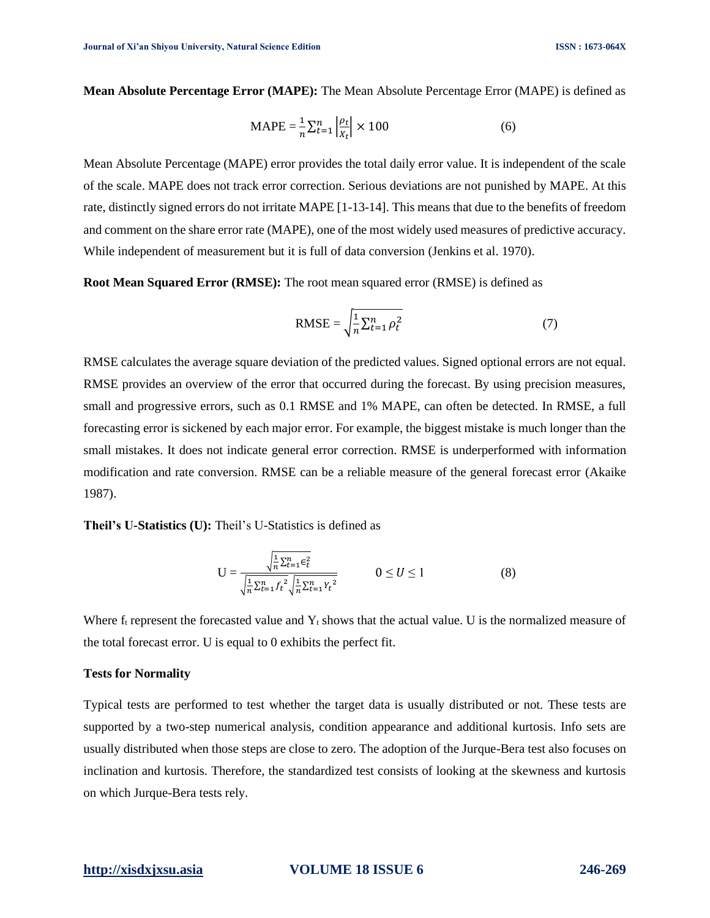**Mean Absolute Percentage Error (MAPE):** The Mean Absolute Percentage Error (MAPE) is defined as

$$
\text{MAPE} = \frac{1}{n} \sum_{t=1}^{n} \left| \frac{\rho_t}{X_t} \right| \times 100 \tag{6}
$$

Mean Absolute Percentage (MAPE) error provides the total daily error value. It is independent of the scale of the scale. MAPE does not track error correction. Serious deviations are not punished by MAPE. At this rate, distinctly signed errors do not irritate MAPE [1-13-14]. This means that due to the benefits of freedom and comment on the share error rate (MAPE), one of the most widely used measures of predictive accuracy. While independent of measurement but it is full of data conversion (Jenkins et al. 1970).

**Root Mean Squared Error (RMSE):** The root mean squared error (RMSE) is defined as

$$
RMSE = \sqrt{\frac{1}{n} \sum_{t=1}^{n} \rho_t^2}
$$
 (7)

RMSE calculates the average square deviation of the predicted values. Signed optional errors are not equal. RMSE provides an overview of the error that occurred during the forecast. By using precision measures, small and progressive errors, such as 0.1 RMSE and 1% MAPE, can often be detected. In RMSE, a full forecasting error is sickened by each major error. For example, the biggest mistake is much longer than the small mistakes. It does not indicate general error correction. RMSE is underperformed with information modification and rate conversion. RMSE can be a reliable measure of the general forecast error (Akaike 1987).

**Theil's U-Statistics (U):** Theil's U-Statistics is defined as

$$
U = \frac{\sqrt{\frac{1}{n}\sum_{t=1}^{n}\epsilon_{t}^{2}}}{\sqrt{\frac{1}{n}\sum_{t=1}^{n}f_{t}^{2}}\sqrt{\frac{1}{n}\sum_{t=1}^{n}Y_{t}^{2}}}\n\qquad 0 \le U \le 1
$$
\n(8)

Where  $f_t$  represent the forecasted value and  $Y_t$  shows that the actual value. U is the normalized measure of the total forecast error. U is equal to 0 exhibits the perfect fit.

# **Tests for Normality**

Typical tests are performed to test whether the target data is usually distributed or not. These tests are supported by a two-step numerical analysis, condition appearance and additional kurtosis. Info sets are usually distributed when those steps are close to zero. The adoption of the Jurque-Bera test also focuses on inclination and kurtosis. Therefore, the standardized test consists of looking at the skewness and kurtosis on which Jurque-Bera tests rely.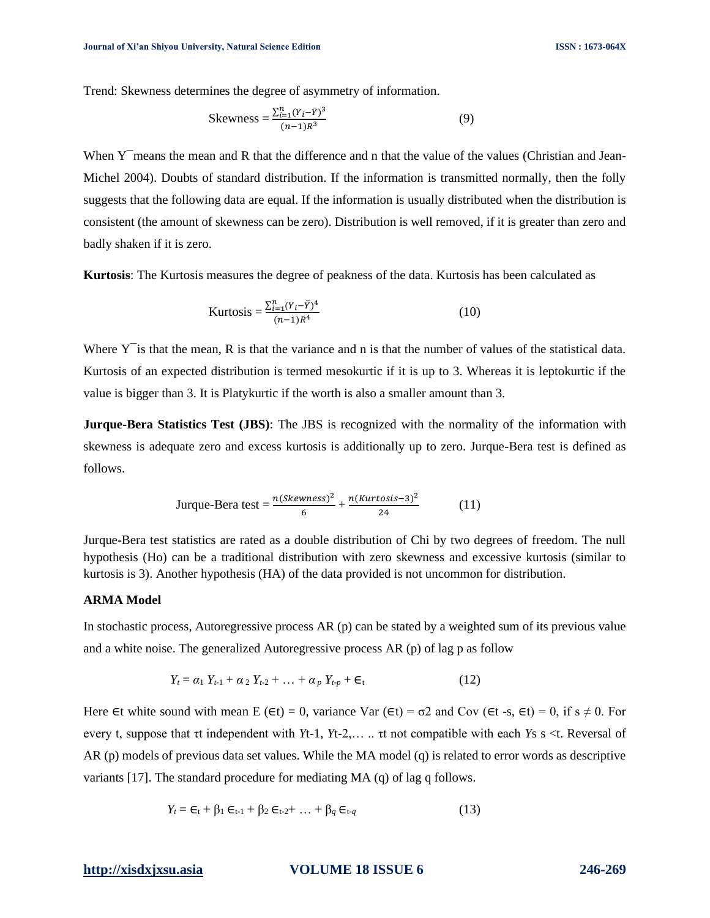Trend: Skewness determines the degree of asymmetry of information.

Skewness = 
$$
\frac{\sum_{i=1}^{n} (Y_i - \bar{Y})^3}{(n-1)R^3}
$$
 (9)

When Y means the mean and R that the difference and n that the value of the values (Christian and Jean-Michel 2004). Doubts of standard distribution. If the information is transmitted normally, then the folly suggests that the following data are equal. If the information is usually distributed when the distribution is consistent (the amount of skewness can be zero). Distribution is well removed, if it is greater than zero and badly shaken if it is zero.

**Kurtosis**: The Kurtosis measures the degree of peakness of the data. Kurtosis has been calculated as

Kurtosis = 
$$
\frac{\sum_{i=1}^{n} (Y_i - \bar{Y})^4}{(n-1)R^4}
$$
 (10)

Where  $Y<sup>-</sup>$  is that the mean, R is that the variance and n is that the number of values of the statistical data. Kurtosis of an expected distribution is termed mesokurtic if it is up to 3. Whereas it is leptokurtic if the value is bigger than 3. It is Platykurtic if the worth is also a smaller amount than 3.

**Jurque-Bera Statistics Test (JBS)**: The JBS is recognized with the normality of the information with skewness is adequate zero and excess kurtosis is additionally up to zero. Jurque-Bera test is defined as follows.

$$
\text{Jurque-Bera test} = \frac{n(Skewness)^2}{6} + \frac{n(Kurtosis - 3)^2}{24} \tag{11}
$$

Jurque-Bera test statistics are rated as a double distribution of Chi by two degrees of freedom. The null hypothesis (Ho) can be a traditional distribution with zero skewness and excessive kurtosis (similar to kurtosis is 3). Another hypothesis (HA) of the data provided is not uncommon for distribution.

# **ARMA Model**

In stochastic process, Autoregressive process AR (p) can be stated by a weighted sum of its previous value and a white noise. The generalized Autoregressive process AR (p) of lag p as follow

$$
Y_t = \alpha_1 \ Y_{t-1} + \alpha_2 \ Y_{t-2} + \dots + \alpha_p \ Y_{t-p} + \epsilon_t \tag{12}
$$

Here ∈t white sound with mean E (∈t) = 0, variance Var (∈t) =  $\sigma$ 2 and Cov (∈t -s, ∈t) = 0, if s  $\neq$  0. For every t, suppose that τt independent with *Y*t-1, *Y*t-2,… .. τt not compatible with each *Y*s s <t. Reversal of AR (p) models of previous data set values. While the MA model (q) is related to error words as descriptive variants [17]. The standard procedure for mediating MA (q) of lag q follows.

$$
Y_t = \epsilon_t + \beta_1 \epsilon_{t-1} + \beta_2 \epsilon_{t-2} + \dots + \beta_q \epsilon_{t-q}
$$
\n(13)

# **[http://xisdxjxsu.asia](http://xisdxjxsu.asia/) VOLUME 18 ISSUE 6 246-269**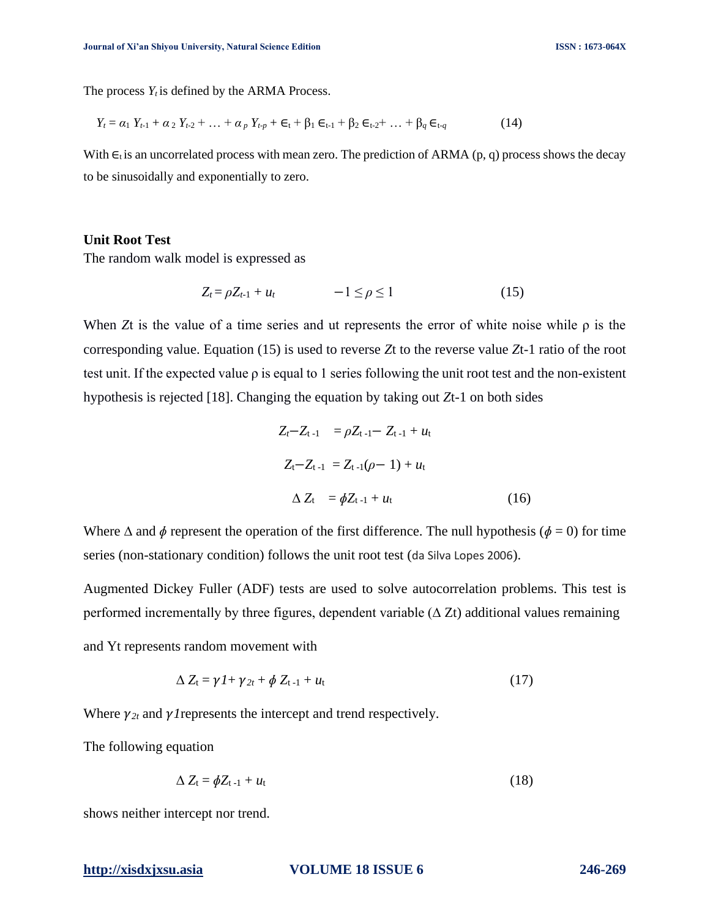The process  $Y_t$  is defined by the ARMA Process.

$$
Y_t = \alpha_1 Y_{t-1} + \alpha_2 Y_{t-2} + \dots + \alpha_p Y_{t-p} + \epsilon_t + \beta_1 \epsilon_{t-1} + \beta_2 \epsilon_{t-2} + \dots + \beta_q \epsilon_{t-q}
$$
(14)

With  $\epsilon_t$  is an uncorrelated process with mean zero. The prediction of ARMA (p, q) process shows the decay to be sinusoidally and exponentially to zero.

# **Unit Root Test**

The random walk model is expressed as

$$
Z_t = \rho Z_{t-1} + u_t \qquad -1 \le \rho \le 1 \tag{15}
$$

When *Z*t is the value of a time series and ut represents the error of white noise while  $\rho$  is the corresponding value. Equation (15) is used to reverse *Z*t to the reverse value *Z*t-1 ratio of the root test unit. If the expected value  $\rho$  is equal to 1 series following the unit root test and the non-existent hypothesis is rejected [18]. Changing the equation by taking out *Z*t-1 on both sides

$$
Z_{t} - Z_{t-1} = \rho Z_{t-1} - Z_{t-1} + u_{t}
$$
  
\n
$$
Z_{t} - Z_{t-1} = Z_{t-1}(\rho - 1) + u_{t}
$$
  
\n
$$
\Delta Z_{t} = \phi Z_{t-1} + u_{t}
$$
 (16)

Where  $\Delta$  and  $\phi$  represent the operation of the first difference. The null hypothesis ( $\phi = 0$ ) for time series (non-stationary condition) follows the unit root test (da Silva Lopes 2006).

Augmented Dickey Fuller (ADF) tests are used to solve autocorrelation problems. This test is performed incrementally by three figures, dependent variable  $(\Delta Zt)$  additional values remaining

and Yt represents random movement with

$$
\Delta Z_t = \gamma I + \gamma_{2t} + \phi Z_{t-1} + u_t \tag{17}
$$

Where  $\gamma_{2t}$  and  $\gamma$  l represents the intercept and trend respectively.

The following equation

$$
\Delta Z_{t} = \phi Z_{t-1} + u_t \tag{18}
$$

shows neither intercept nor trend.

**[http://xisdxjxsu.asia](http://xisdxjxsu.asia/) VOLUME 18 ISSUE 6 246-269**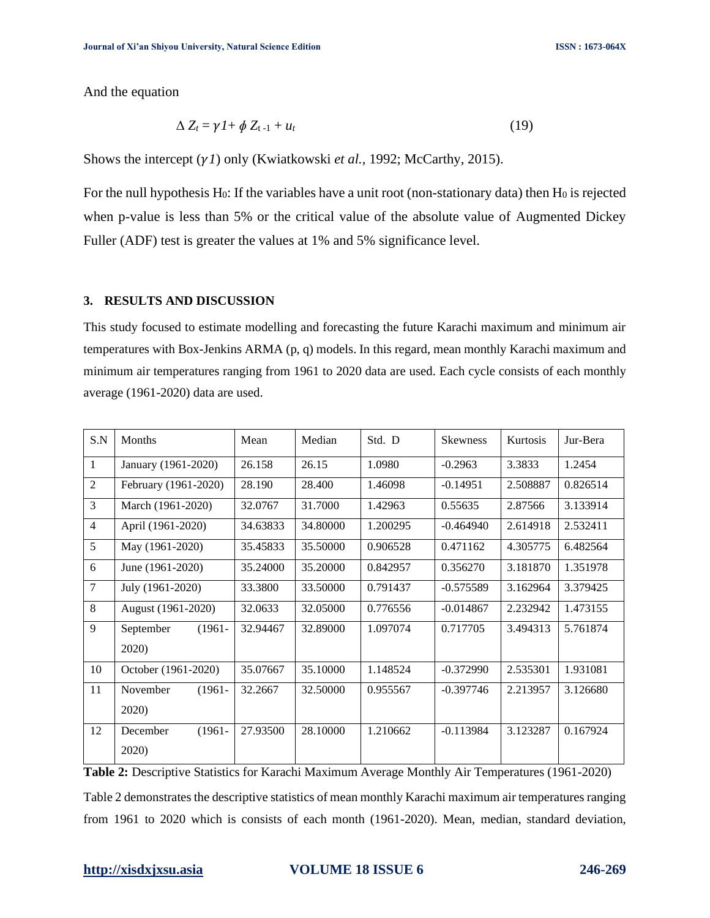And the equation

$$
\Delta Z_t = \gamma I + \phi Z_{t-1} + u_t \tag{19}
$$

Shows the intercept ( $\gamma I$ ) only (Kwiatkowski *et al.*, 1992; McCarthy, 2015).

For the null hypothesis  $H_0$ : If the variables have a unit root (non-stationary data) then  $H_0$  is rejected when p-value is less than 5% or the critical value of the absolute value of Augmented Dickey Fuller (ADF) test is greater the values at 1% and 5% significance level.

# **3. RESULTS AND DISCUSSION**

This study focused to estimate modelling and forecasting the future Karachi maximum and minimum air temperatures with Box-Jenkins ARMA (p, q) models. In this regard, mean monthly Karachi maximum and minimum air temperatures ranging from 1961 to 2020 data are used. Each cycle consists of each monthly average (1961-2020) data are used.

| S.N            | Months                 | Mean     | Median   | Std. D   | <b>Skewness</b> | Kurtosis | Jur-Bera |
|----------------|------------------------|----------|----------|----------|-----------------|----------|----------|
| $\mathbf{1}$   | January (1961-2020)    | 26.158   | 26.15    | 1.0980   | $-0.2963$       | 3.3833   | 1.2454   |
| $\overline{2}$ | February (1961-2020)   | 28.190   | 28.400   | 1.46098  | $-0.14951$      | 2.508887 | 0.826514 |
| 3              | March (1961-2020)      | 32.0767  | 31.7000  | 1.42963  | 0.55635         | 2.87566  | 3.133914 |
| $\overline{4}$ | April (1961-2020)      | 34.63833 | 34.80000 | 1.200295 | $-0.464940$     | 2.614918 | 2.532411 |
| 5              | May (1961-2020)        | 35.45833 | 35.50000 | 0.906528 | 0.471162        | 4.305775 | 6.482564 |
| 6              | June (1961-2020)       | 35.24000 | 35.20000 | 0.842957 | 0.356270        | 3.181870 | 1.351978 |
| 7              | July (1961-2020)       | 33.3800  | 33.50000 | 0.791437 | $-0.575589$     | 3.162964 | 3.379425 |
| 8              | August (1961-2020)     | 32.0633  | 32.05000 | 0.776556 | $-0.014867$     | 2.232942 | 1.473155 |
| 9              | September<br>$(1961 -$ | 32.94467 | 32.89000 | 1.097074 | 0.717705        | 3.494313 | 5.761874 |
|                | 2020)                  |          |          |          |                 |          |          |
| 10             | October (1961-2020)    | 35.07667 | 35.10000 | 1.148524 | $-0.372990$     | 2.535301 | 1.931081 |
| 11             | November<br>$(1961 -$  | 32.2667  | 32.50000 | 0.955567 | $-0.397746$     | 2.213957 | 3.126680 |
|                | 2020)                  |          |          |          |                 |          |          |
| 12             | $(1961 -$<br>December  | 27.93500 | 28.10000 | 1.210662 | $-0.113984$     | 3.123287 | 0.167924 |
|                | 2020)                  |          |          |          |                 |          |          |

**Table 2:** Descriptive Statistics for Karachi Maximum Average Monthly Air Temperatures (1961-2020) Table 2 demonstrates the descriptive statistics of mean monthly Karachi maximum air temperatures ranging from 1961 to 2020 which is consists of each month (1961-2020). Mean, median, standard deviation,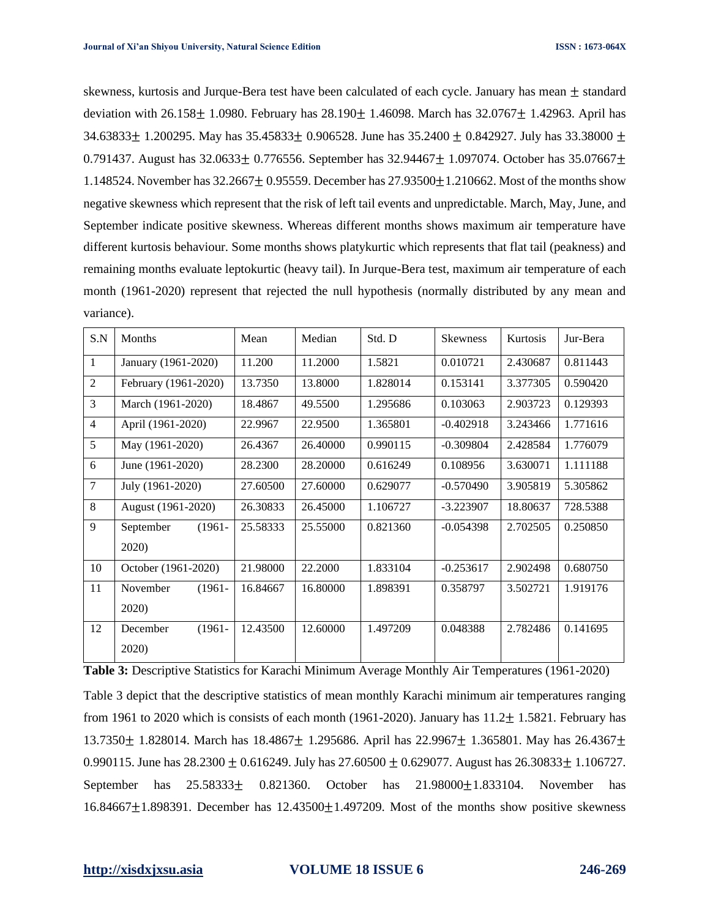skewness, kurtosis and Jurque-Bera test have been calculated of each cycle. January has mean  $\pm$  standard deviation with  $26.158 \pm 1.0980$ . February has  $28.190 \pm 1.46098$ . March has  $32.0767 \pm 1.42963$ . April has 34.63833 + 1.200295. May has  $35.45833 + 0.906528$ . June has  $35.2400 + 0.842927$ . July has  $33.38000 +$ 0.791437. August has  $32.0633 \pm 0.776556$ . September has  $32.94467 \pm 1.097074$ . October has  $35.07667 \pm 1.097074$ . 1.148524. November has  $32.2667 \pm 0.95559$ . December has  $27.93500 \pm 1.210662$ . Most of the months show negative skewness which represent that the risk of left tail events and unpredictable. March, May, June, and September indicate positive skewness. Whereas different months shows maximum air temperature have different kurtosis behaviour. Some months shows platykurtic which represents that flat tail (peakness) and remaining months evaluate leptokurtic (heavy tail). In Jurque-Bera test, maximum air temperature of each month (1961-2020) represent that rejected the null hypothesis (normally distributed by any mean and variance).

| S.N            | Months                 | Mean     | Median   | Std. D   | <b>Skewness</b> | Kurtosis | Jur-Bera |
|----------------|------------------------|----------|----------|----------|-----------------|----------|----------|
| 1              | January (1961-2020)    | 11.200   | 11.2000  | 1.5821   | 0.010721        | 2.430687 | 0.811443 |
| $\overline{2}$ | February (1961-2020)   | 13.7350  | 13.8000  | 1.828014 | 0.153141        | 3.377305 | 0.590420 |
| $\overline{3}$ | March (1961-2020)      | 18.4867  | 49.5500  | 1.295686 | 0.103063        | 2.903723 | 0.129393 |
| $\overline{4}$ | April (1961-2020)      | 22.9967  | 22.9500  | 1.365801 | $-0.402918$     | 3.243466 | 1.771616 |
| 5              | May (1961-2020)        | 26.4367  | 26.40000 | 0.990115 | $-0.309804$     | 2.428584 | 1.776079 |
| 6              | June (1961-2020)       | 28.2300  | 28.20000 | 0.616249 | 0.108956        | 3.630071 | 1.111188 |
| $\overline{7}$ | July (1961-2020)       | 27.60500 | 27.60000 | 0.629077 | $-0.570490$     | 3.905819 | 5.305862 |
| 8              | August (1961-2020)     | 26.30833 | 26.45000 | 1.106727 | $-3.223907$     | 18.80637 | 728.5388 |
| 9              | $(1961 -$<br>September | 25.58333 | 25.55000 | 0.821360 | $-0.054398$     | 2.702505 | 0.250850 |
|                | 2020)                  |          |          |          |                 |          |          |
| 10             | October (1961-2020)    | 21.98000 | 22.2000  | 1.833104 | $-0.253617$     | 2.902498 | 0.680750 |
| 11             | $(1961 -$<br>November  | 16.84667 | 16.80000 | 1.898391 | 0.358797        | 3.502721 | 1.919176 |
|                | 2020)                  |          |          |          |                 |          |          |
| 12             | $(1961 -$<br>December  | 12.43500 | 12.60000 | 1.497209 | 0.048388        | 2.782486 | 0.141695 |
|                | 2020)                  |          |          |          |                 |          |          |

**Table 3:** Descriptive Statistics for Karachi Minimum Average Monthly Air Temperatures (1961-2020)

Table 3 depict that the descriptive statistics of mean monthly Karachi minimum air temperatures ranging from 1961 to 2020 which is consists of each month (1961-2020). January has  $11.2 \pm 1.5821$ . February has 13.7350 ± 1.828014. March has 18.4867 ± 1.295686. April has 22.9967 ± 1.365801. May has 26.4367 ± 0.990115. June has  $28.2300 \pm 0.616249$ . July has  $27.60500 \pm 0.629077$ . August has  $26.30833 \pm 1.106727$ . September has 25.58333± 0.821360. October has 21.98000±1.833104. November has  $16.84667 \pm 1.898391$ . December has  $12.43500 \pm 1.497209$ . Most of the months show positive skewness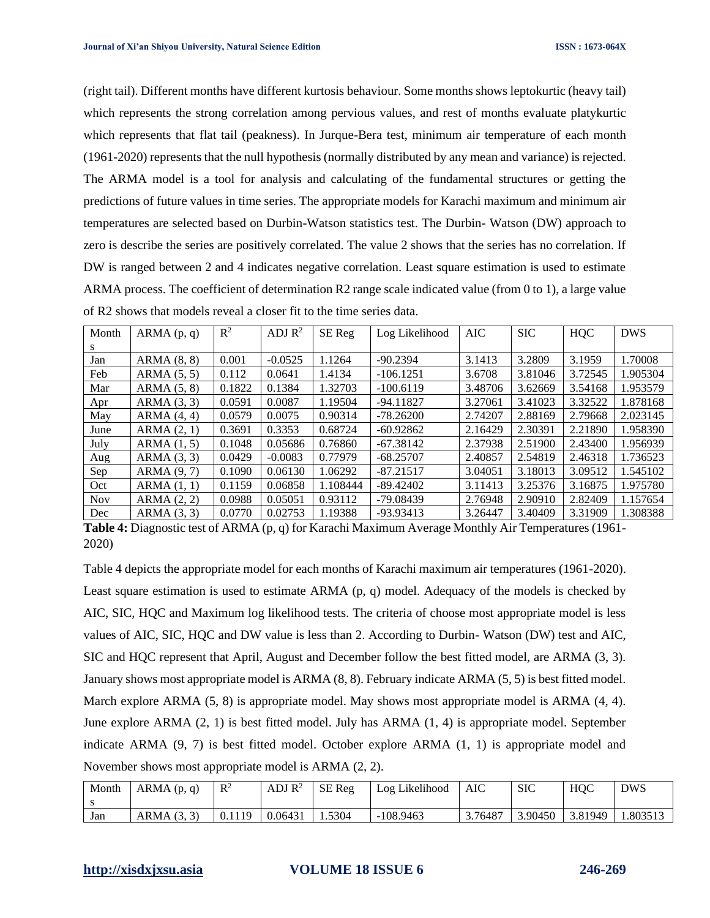(right tail). Different months have different kurtosis behaviour. Some months shows leptokurtic (heavy tail) which represents the strong correlation among pervious values, and rest of months evaluate platykurtic which represents that flat tail (peakness). In Jurque-Bera test, minimum air temperature of each month (1961-2020) represents that the null hypothesis (normally distributed by any mean and variance) is rejected. The ARMA model is a tool for analysis and calculating of the fundamental structures or getting the predictions of future values in time series. The appropriate models for Karachi maximum and minimum air temperatures are selected based on Durbin-Watson statistics test. The Durbin- Watson (DW) approach to zero is describe the series are positively correlated. The value 2 shows that the series has no correlation. If DW is ranged between 2 and 4 indicates negative correlation. Least square estimation is used to estimate ARMA process. The coefficient of determination R2 range scale indicated value (from 0 to 1), a large value of R2 shows that models reveal a closer fit to the time series data.

| Month      | ARMA(p, q)      | $\mathbb{R}^2$ | ADJ $\mathbb{R}^2$ | SE Reg   | Log Likelihood | <b>AIC</b> | <b>SIC</b> | <b>HQC</b> | <b>DWS</b> |
|------------|-----------------|----------------|--------------------|----------|----------------|------------|------------|------------|------------|
| S.         |                 |                |                    |          |                |            |            |            |            |
| Jan        | ARMA (8, 8)     | 0.001          | $-0.0525$          | 1.1264   | $-90.2394$     | 3.1413     | 3.2809     | 3.1959     | 1.70008    |
| Feb        | ARMA(5, 5)      | 0.112          | 0.0641             | 1.4134   | $-106.1251$    | 3.6708     | 3.81046    | 3.72545    | 1.905304   |
| Mar        | ARMA(5, 8)      | 0.1822         | 0.1384             | 1.32703  | $-100.6119$    | 3.48706    | 3.62669    | 3.54168    | 1.953579   |
| Apr        | ARMA (3, 3)     | 0.0591         | 0.0087             | 1.19504  | $-94.11827$    | 3.27061    | 3.41023    | 3.32522    | 1.878168   |
| May        | ARMA(4, 4)      | 0.0579         | 0.0075             | 0.90314  | $-78.26200$    | 2.74207    | 2.88169    | 2.79668    | 2.023145   |
| June       | ARMA(2, 1)      | 0.3691         | 0.3353             | 0.68724  | $-60.92862$    | 2.16429    | 2.30391    | 2.21890    | 1.958390   |
| July       | ARMA (1, 5)     | 0.1048         | 0.05686            | 0.76860  | $-67.38142$    | 2.37938    | 2.51900    | 2.43400    | 1.956939   |
| Aug        | $ARMA$ $(3, 3)$ | 0.0429         | $-0.0083$          | 0.77979  | $-68.25707$    | 2.40857    | 2.54819    | 2.46318    | 1.736523   |
| Sep        | ARMA (9, 7)     | 0.1090         | 0.06130            | 1.06292  | $-87.21517$    | 3.04051    | 3.18013    | 3.09512    | 1.545102   |
| Oct        | ARMA(1, 1)      | 0.1159         | 0.06858            | 1.108444 | $-89.42402$    | 3.11413    | 3.25376    | 3.16875    | 1.975780   |
| <b>Nov</b> | ARMA(2, 2)      | 0.0988         | 0.05051            | 0.93112  | $-79.08439$    | 2.76948    | 2.90910    | 2.82409    | 1.157654   |
| Dec        | ARMA (3, 3)     | 0.0770         | 0.02753            | 1.19388  | $-93.93413$    | 3.26447    | 3.40409    | 3.31909    | 1.308388   |

**Table 4:** Diagnostic test of ARMA (p, q) for Karachi Maximum Average Monthly Air Temperatures (1961- 2020)

Table 4 depicts the appropriate model for each months of Karachi maximum air temperatures (1961-2020). Least square estimation is used to estimate ARMA (p, q) model. Adequacy of the models is checked by AIC, SIC, HQC and Maximum log likelihood tests. The criteria of choose most appropriate model is less values of AIC, SIC, HQC and DW value is less than 2. According to Durbin- Watson (DW) test and AIC, SIC and HQC represent that April, August and December follow the best fitted model, are ARMA (3, 3). January shows most appropriate model is ARMA (8, 8). February indicate ARMA (5, 5) is best fitted model. March explore ARMA (5, 8) is appropriate model. May shows most appropriate model is ARMA (4, 4). June explore ARMA (2, 1) is best fitted model. July has ARMA (1, 4) is appropriate model. September indicate ARMA (9, 7) is best fitted model. October explore ARMA (1, 1) is appropriate model and November shows most appropriate model is ARMA (2, 2).

| Month | ARMA(p, q) | $\mathbb{R}^2$ | ADJ $\rm R^2$ | <b>SE</b> Reg | Log Likelihood | AIC     | <b>SIC</b> | HQC     | <b>DWS</b> |
|-------|------------|----------------|---------------|---------------|----------------|---------|------------|---------|------------|
| Jan   | ARMA(3, 3) | 0.1119         | 0.06431       | 1.5304        | $-108.9463$    | 3.76487 | 3.90450    | 3.81949 | 1.803513   |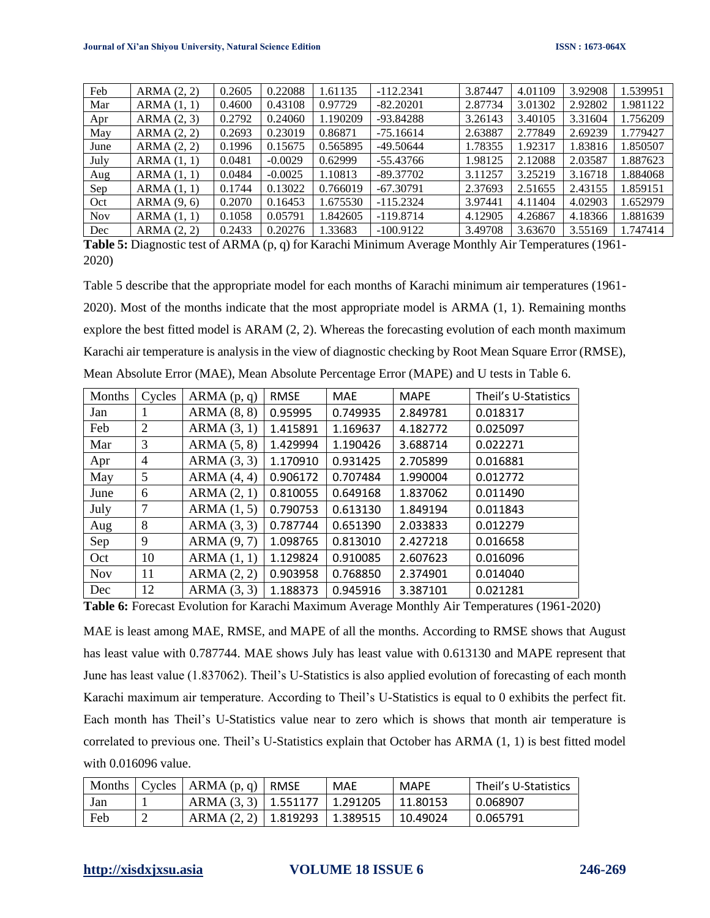| Feb        | ARMA(2, 2)      | 0.2605 | 0.22088   | 1.61135  | $-112.2341$ | 3.87447 | 4.01109 | 3.92908 | 1.539951 |
|------------|-----------------|--------|-----------|----------|-------------|---------|---------|---------|----------|
| Mar        | ARMA(1, 1)      | 0.4600 | 0.43108   | 0.97729  | $-82.20201$ | 2.87734 | 3.01302 | 2.92802 | 1.981122 |
| Apr        | $ARMA$ $(2, 3)$ | 0.2792 | 0.24060   | 1.190209 | $-93.84288$ | 3.26143 | 3.40105 | 3.31604 | 1.756209 |
| May        | ARMA(2, 2)      | 0.2693 | 0.23019   | 0.86871  | $-75.16614$ | 2.63887 | 2.77849 | 2.69239 | 1.779427 |
| June       | ARMA(2, 2)      | 0.1996 | 0.15675   | 0.565895 | $-49.50644$ | 1.78355 | 1.92317 | 1.83816 | 1.850507 |
| July       | ARMA(1, 1)      | 0.0481 | $-0.0029$ | 0.62999  | $-55.43766$ | 1.98125 | 2.12088 | 2.03587 | 1.887623 |
| Aug        | ARMA(1, 1)      | 0.0484 | $-0.0025$ | 1.10813  | $-89.37702$ | 3.11257 | 3.25219 | 3.16718 | 1.884068 |
| Sep        | ARMA(1, 1)      | 0.1744 | 0.13022   | 0.766019 | $-67.30791$ | 2.37693 | 2.51655 | 2.43155 | 1.859151 |
| Oct        | ARMA(9, 6)      | 0.2070 | 0.16453   | 1.675530 | $-115.2324$ | 3.97441 | 4.11404 | 4.02903 | 1.652979 |
| <b>Nov</b> | ARMA(1, 1)      | 0.1058 | 0.05791   | 1.842605 | $-119.8714$ | 4.12905 | 4.26867 | 4.18366 | 1.881639 |
| Dec        | ARMA (2, 2)     | 0.2433 | 0.20276   | 1.33683  | $-100.9122$ | 3.49708 | 3.63670 | 3.55169 | 1.747414 |

**Table 5:** Diagnostic test of ARMA (p, q) for Karachi Minimum Average Monthly Air Temperatures (1961- 2020)

Table 5 describe that the appropriate model for each months of Karachi minimum air temperatures (1961- 2020). Most of the months indicate that the most appropriate model is ARMA (1, 1). Remaining months explore the best fitted model is ARAM (2, 2). Whereas the forecasting evolution of each month maximum Karachi air temperature is analysis in the view of diagnostic checking by Root Mean Square Error (RMSE), Mean Absolute Error (MAE), Mean Absolute Percentage Error (MAPE) and U tests in Table 6.

| Months     | Cycles         | ARMA(p, q)      | <b>RMSE</b> | <b>MAE</b> | <b>MAPE</b> | Theil's U-Statistics |
|------------|----------------|-----------------|-------------|------------|-------------|----------------------|
| Jan        | 1              | ARMA(8, 8)      | 0.95995     | 0.749935   | 2.849781    | 0.018317             |
| Feb        | $\overline{2}$ | ARMA(3, 1)      | 1.415891    | 1.169637   | 4.182772    | 0.025097             |
| Mar        | 3              | ARMA(5, 8)      | 1.429994    | 1.190426   | 3.688714    | 0.022271             |
| Apr        | 4              | $ARMA$ $(3, 3)$ | 1.170910    | 0.931425   | 2.705899    | 0.016881             |
| May        | 5              | ARMA(4, 4)      | 0.906172    | 0.707484   | 1.990004    | 0.012772             |
| June       | 6              | ARMA(2, 1)      | 0.810055    | 0.649168   | 1.837062    | 0.011490             |
| July       | 7              | $ARMA$ $(1, 5)$ | 0.790753    | 0.613130   | 1.849194    | 0.011843             |
| Aug        | 8              | ARMA(3, 3)      | 0.787744    | 0.651390   | 2.033833    | 0.012279             |
| Sep        | 9              | ARMA (9, 7)     | 1.098765    | 0.813010   | 2.427218    | 0.016658             |
| Oct        | 10             | ARMA(1, 1)      | 1.129824    | 0.910085   | 2.607623    | 0.016096             |
| <b>Nov</b> | 11             | ARMA(2, 2)      | 0.903958    | 0.768850   | 2.374901    | 0.014040             |
| Dec        | 12             | $ARMA$ $(3, 3)$ | 1.188373    | 0.945916   | 3.387101    | 0.021281             |

**Table 6:** Forecast Evolution for Karachi Maximum Average Monthly Air Temperatures (1961-2020)

MAE is least among MAE, RMSE, and MAPE of all the months. According to RMSE shows that August has least value with 0.787744. MAE shows July has least value with 0.613130 and MAPE represent that June has least value (1.837062). Theil's U-Statistics is also applied evolution of forecasting of each month Karachi maximum air temperature. According to Theil's U-Statistics is equal to 0 exhibits the perfect fit. Each month has Theil's U-Statistics value near to zero which is shows that month air temperature is correlated to previous one. Theil's U-Statistics explain that October has ARMA (1, 1) is best fitted model with 0.016096 value.

|     | Months $\vert$ Cycles $\vert$ ARMA $(p, q)$ $\vert$ RMSE | MAE | <b>MAPE</b> | Theil's U-Statistics |
|-----|----------------------------------------------------------|-----|-------------|----------------------|
| Jan | ARMA (3, 3)   1.551177   1.291205                        |     | 11.80153    | 0.068907             |
| Feb | ARMA (2, 2)   1.819293   1.389515                        |     | 10.49024    | 0.065791             |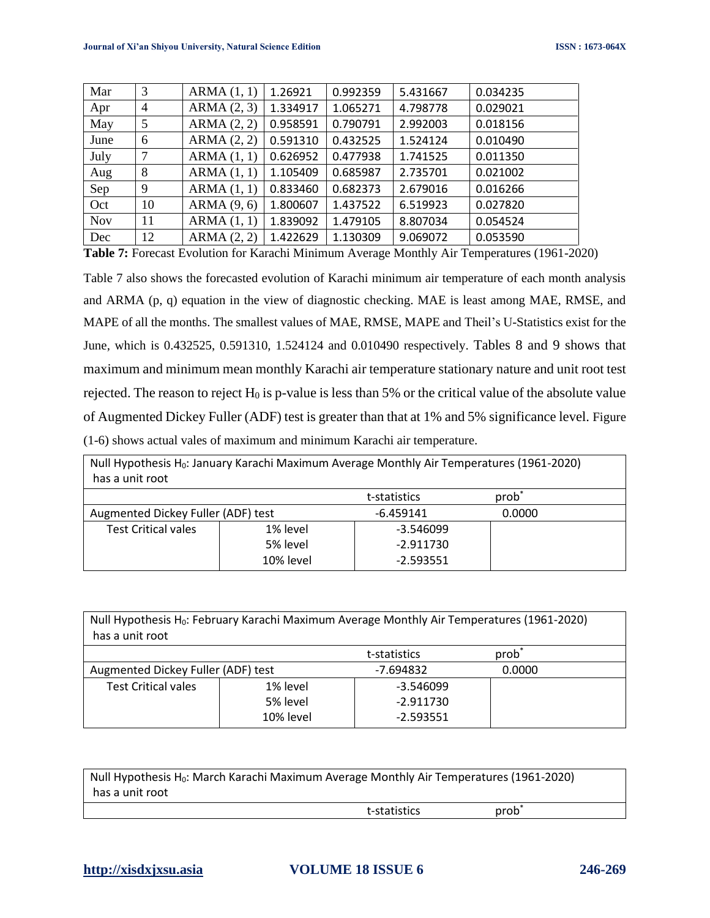| Mar        | 3              | ARMA(1, 1) | 1.26921  | 0.992359 | 5.431667 | 0.034235 |
|------------|----------------|------------|----------|----------|----------|----------|
| Apr        | $\overline{4}$ | ARMA(2, 3) | 1.334917 | 1.065271 | 4.798778 | 0.029021 |
| May        | 5              | ARMA(2, 2) | 0.958591 | 0.790791 | 2.992003 | 0.018156 |
| June       | 6              | ARMA(2, 2) | 0.591310 | 0.432525 | 1.524124 | 0.010490 |
| July       | 7              | ARMA(1, 1) | 0.626952 | 0.477938 | 1.741525 | 0.011350 |
| Aug        | 8              | ARMA(1, 1) | 1.105409 | 0.685987 | 2.735701 | 0.021002 |
| Sep        | 9              | ARMA(1, 1) | 0.833460 | 0.682373 | 2.679016 | 0.016266 |
| Oct        | 10             | ARMA(9, 6) | 1.800607 | 1.437522 | 6.519923 | 0.027820 |
| <b>Nov</b> | 11             | ARMA(1, 1) | 1.839092 | 1.479105 | 8.807034 | 0.054524 |
| Dec        | 12             | ARMA(2, 2) | 1.422629 | 1.130309 | 9.069072 | 0.053590 |

**Table 7:** Forecast Evolution for Karachi Minimum Average Monthly Air Temperatures (1961-2020)

Table 7 also shows the forecasted evolution of Karachi minimum air temperature of each month analysis and ARMA (p, q) equation in the view of diagnostic checking. MAE is least among MAE, RMSE, and MAPE of all the months. The smallest values of MAE, RMSE, MAPE and Theil's U-Statistics exist for the June, which is 0.432525, 0.591310, 1.524124 and 0.010490 respectively. Tables 8 and 9 shows that maximum and minimum mean monthly Karachi air temperature stationary nature and unit root test rejected. The reason to reject  $H_0$  is p-value is less than 5% or the critical value of the absolute value of Augmented Dickey Fuller (ADF) test is greater than that at 1% and 5% significance level. Figure (1-6) shows actual vales of maximum and minimum Karachi air temperature.

| Null Hypothesis H <sub>0</sub> : January Karachi Maximum Average Monthly Air Temperatures (1961-2020) |           |             |        |  |  |  |  |
|-------------------------------------------------------------------------------------------------------|-----------|-------------|--------|--|--|--|--|
| has a unit root                                                                                       |           |             |        |  |  |  |  |
| prob <sup>-</sup><br>t-statistics                                                                     |           |             |        |  |  |  |  |
| Augmented Dickey Fuller (ADF) test                                                                    |           | $-6.459141$ | 0.0000 |  |  |  |  |
| <b>Test Critical vales</b>                                                                            | 1% level  | $-3.546099$ |        |  |  |  |  |
|                                                                                                       | 5% level  | $-2.911730$ |        |  |  |  |  |
|                                                                                                       | 10% level | $-2.593551$ |        |  |  |  |  |

| Null Hypothesis H <sub>0</sub> : February Karachi Maximum Average Monthly Air Temperatures (1961-2020)<br>has a unit root |           |              |          |  |  |  |  |
|---------------------------------------------------------------------------------------------------------------------------|-----------|--------------|----------|--|--|--|--|
|                                                                                                                           |           | t-statistics | $prob^*$ |  |  |  |  |
| Augmented Dickey Fuller (ADF) test                                                                                        |           | -7.694832    | 0.0000   |  |  |  |  |
| <b>Test Critical vales</b>                                                                                                | 1% level  | $-3.546099$  |          |  |  |  |  |
|                                                                                                                           | 5% level  | $-2.911730$  |          |  |  |  |  |
|                                                                                                                           | 10% level | $-2.593551$  |          |  |  |  |  |

| Null Hypothesis H <sub>0</sub> : March Karachi Maximum Average Monthly Air Temperatures (1961-2020) |              |                   |  |  |  |  |
|-----------------------------------------------------------------------------------------------------|--------------|-------------------|--|--|--|--|
| has a unit root                                                                                     |              |                   |  |  |  |  |
|                                                                                                     | t-statistics | prob <sup>-</sup> |  |  |  |  |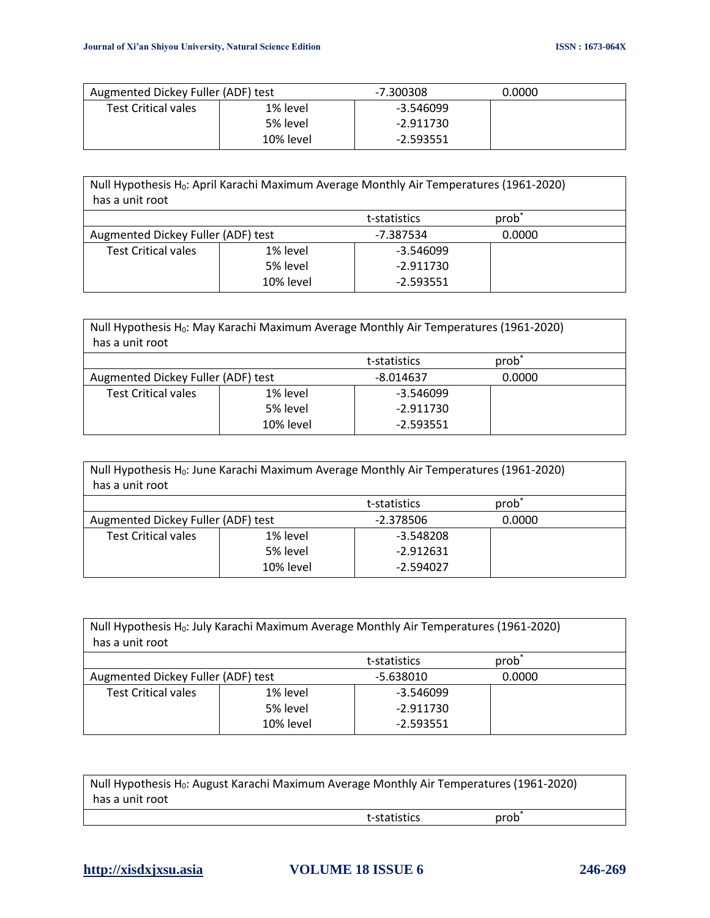| Augmented Dickey Fuller (ADF) test |           | $-7.300308$ | 0.0000 |
|------------------------------------|-----------|-------------|--------|
| <b>Test Critical vales</b>         | 1% level  | -3.546099   |        |
|                                    | 5% level  | -2.911730   |        |
|                                    | 10% level | -2.593551   |        |

| Null Hypothesis H <sub>0</sub> : April Karachi Maximum Average Monthly Air Temperatures (1961-2020)<br>has a unit root |           |              |                   |  |
|------------------------------------------------------------------------------------------------------------------------|-----------|--------------|-------------------|--|
|                                                                                                                        |           | t-statistics | prob <sup>1</sup> |  |
| Augmented Dickey Fuller (ADF) test                                                                                     |           | -7.387534    | 0.0000            |  |
| <b>Test Critical vales</b>                                                                                             | 1% level  | $-3.546099$  |                   |  |
|                                                                                                                        | 5% level  | $-2.911730$  |                   |  |
|                                                                                                                        | 10% level | $-2.593551$  |                   |  |

| Null Hypothesis H <sub>0</sub> : May Karachi Maximum Average Monthly Air Temperatures (1961-2020)<br>has a unit root |           |             |        |  |
|----------------------------------------------------------------------------------------------------------------------|-----------|-------------|--------|--|
| prob <sup>*</sup><br>t-statistics                                                                                    |           |             |        |  |
| Augmented Dickey Fuller (ADF) test                                                                                   |           | $-8.014637$ | 0.0000 |  |
| <b>Test Critical vales</b>                                                                                           | 1% level  | $-3.546099$ |        |  |
|                                                                                                                      | 5% level  | $-2.911730$ |        |  |
|                                                                                                                      | 10% level | $-2.593551$ |        |  |

| Null Hypothesis H <sub>0</sub> : June Karachi Maximum Average Monthly Air Temperatures (1961-2020)<br>has a unit root |           |             |        |  |
|-----------------------------------------------------------------------------------------------------------------------|-----------|-------------|--------|--|
| prob <sup>*</sup><br>t-statistics                                                                                     |           |             |        |  |
| Augmented Dickey Fuller (ADF) test<br>$-2.378506$                                                                     |           |             | 0.0000 |  |
| <b>Test Critical vales</b>                                                                                            | 1% level  | $-3.548208$ |        |  |
|                                                                                                                       | 5% level  | $-2.912631$ |        |  |
|                                                                                                                       | 10% level | $-2.594027$ |        |  |

| Null Hypothesis H <sub>0</sub> : July Karachi Maximum Average Monthly Air Temperatures (1961-2020)<br>has a unit root |           |             |        |  |
|-----------------------------------------------------------------------------------------------------------------------|-----------|-------------|--------|--|
| prob <sup>*</sup><br>t-statistics                                                                                     |           |             |        |  |
| Augmented Dickey Fuller (ADF) test                                                                                    |           | $-5.638010$ | 0.0000 |  |
| <b>Test Critical vales</b>                                                                                            | 1% level  | $-3.546099$ |        |  |
|                                                                                                                       | 5% level  | $-2.911730$ |        |  |
|                                                                                                                       | 10% level | $-2.593551$ |        |  |

| Null Hypothesis H <sub>0</sub> : August Karachi Maximum Average Monthly Air Temperatures (1961-2020) |  |  |  |  |
|------------------------------------------------------------------------------------------------------|--|--|--|--|
| has a unit root                                                                                      |  |  |  |  |
| prob <sup>-</sup><br>t-statistics                                                                    |  |  |  |  |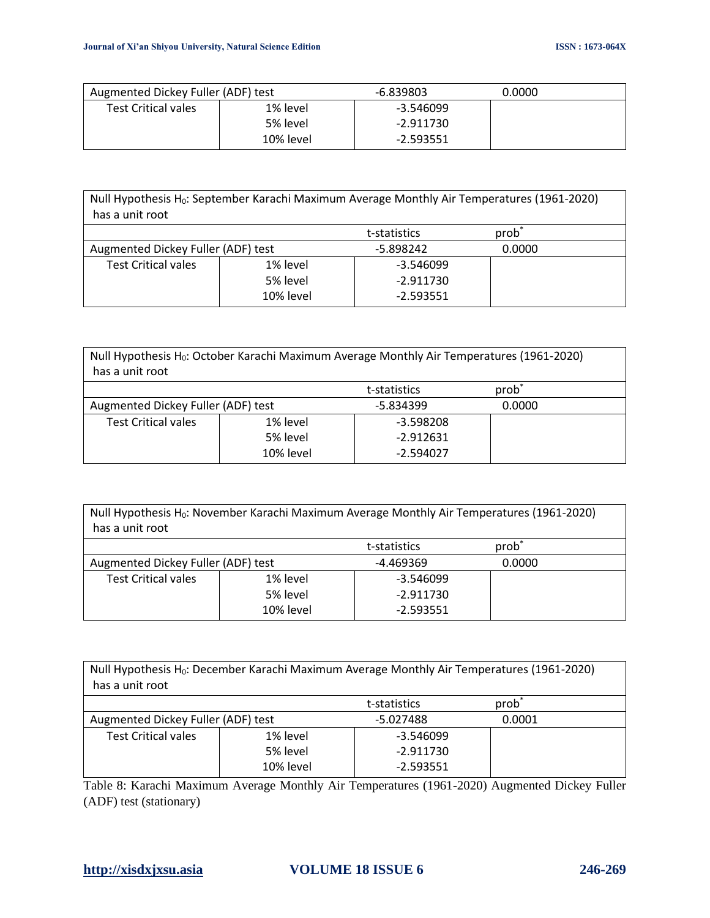| Augmented Dickey Fuller (ADF) test |           | -6.839803 | 0.0000 |
|------------------------------------|-----------|-----------|--------|
| <b>Test Critical vales</b>         | 1% level  | -3.546099 |        |
|                                    | 5% level  | -2.911730 |        |
|                                    | 10% level | -2.593551 |        |

| Null Hypothesis H <sub>0</sub> : September Karachi Maximum Average Monthly Air Temperatures (1961-2020)<br>has a unit root |           |             |        |  |
|----------------------------------------------------------------------------------------------------------------------------|-----------|-------------|--------|--|
| prob<br>t-statistics                                                                                                       |           |             |        |  |
| Augmented Dickey Fuller (ADF) test                                                                                         |           | -5.898242   | 0.0000 |  |
| <b>Test Critical vales</b>                                                                                                 | 1% level  | $-3.546099$ |        |  |
|                                                                                                                            | 5% level  | $-2.911730$ |        |  |
|                                                                                                                            | 10% level | $-2.593551$ |        |  |

| Null Hypothesis H <sub>0</sub> : October Karachi Maximum Average Monthly Air Temperatures (1961-2020)<br>has a unit root |           |             |        |  |
|--------------------------------------------------------------------------------------------------------------------------|-----------|-------------|--------|--|
| prob <sup>-</sup><br>t-statistics                                                                                        |           |             |        |  |
| Augmented Dickey Fuller (ADF) test                                                                                       |           | -5.834399   | 0.0000 |  |
| <b>Test Critical vales</b>                                                                                               | 1% level  | $-3.598208$ |        |  |
|                                                                                                                          | 5% level  | $-2.912631$ |        |  |
|                                                                                                                          | 10% level | $-2.594027$ |        |  |

| Null Hypothesis H <sub>0</sub> : November Karachi Maximum Average Monthly Air Temperatures (1961-2020)<br>has a unit root |           |             |        |  |  |
|---------------------------------------------------------------------------------------------------------------------------|-----------|-------------|--------|--|--|
| prob <sup>*</sup><br>t-statistics                                                                                         |           |             |        |  |  |
| Augmented Dickey Fuller (ADF) test                                                                                        |           | -4.469369   | 0.0000 |  |  |
| <b>Test Critical vales</b>                                                                                                | 1% level  | $-3.546099$ |        |  |  |
|                                                                                                                           | 5% level  | $-2.911730$ |        |  |  |
|                                                                                                                           | 10% level | $-2.593551$ |        |  |  |

Null Hypothesis H<sub>0</sub>: December Karachi Maximum Average Monthly Air Temperatures (1961-2020) has a unit root

|                                    |           | t-statistics | prob <sup>*</sup> |  |
|------------------------------------|-----------|--------------|-------------------|--|
| Augmented Dickey Fuller (ADF) test |           | -5.027488    | 0.0001            |  |
| <b>Test Critical vales</b>         | 1% level  | -3.546099    |                   |  |
|                                    | 5% level  | -2.911730    |                   |  |
|                                    | 10% level | $-2.593551$  |                   |  |

Table 8: Karachi Maximum Average Monthly Air Temperatures (1961-2020) Augmented Dickey Fuller (ADF) test (stationary)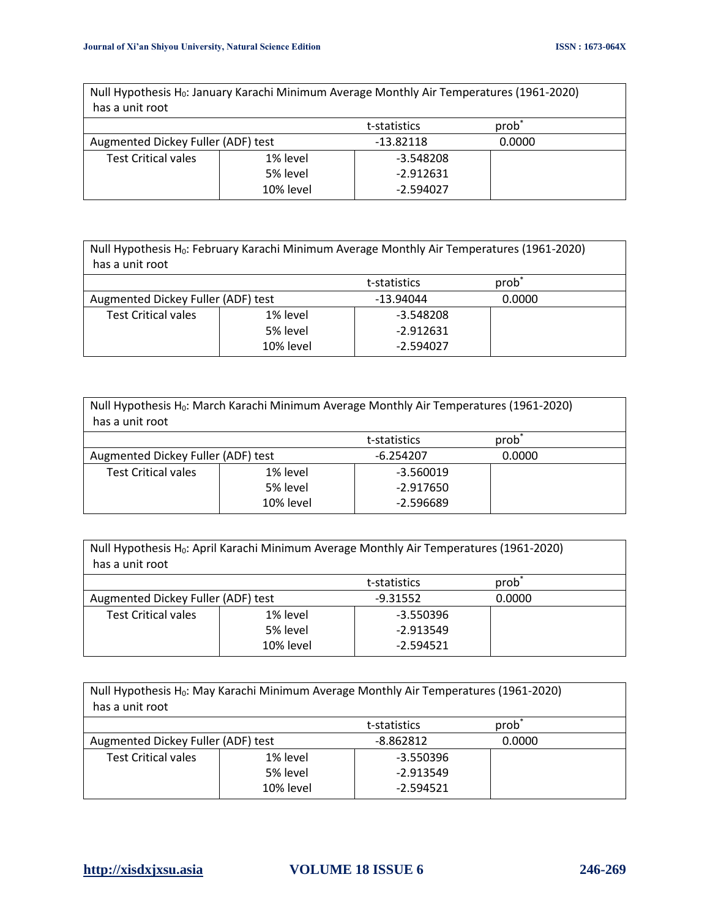| Null Hypothesis H <sub>0</sub> : January Karachi Minimum Average Monthly Air Temperatures (1961-2020)<br>has a unit root |           |              |                   |
|--------------------------------------------------------------------------------------------------------------------------|-----------|--------------|-------------------|
|                                                                                                                          |           | t-statistics | prob <sup>*</sup> |
| Augmented Dickey Fuller (ADF) test                                                                                       |           | $-13.82118$  | 0.0000            |
| <b>Test Critical vales</b>                                                                                               | 1% level  | $-3.548208$  |                   |
|                                                                                                                          | 5% level  | $-2.912631$  |                   |
|                                                                                                                          | 10% level | $-2.594027$  |                   |

| Null Hypothesis H <sub>0</sub> : February Karachi Minimum Average Monthly Air Temperatures (1961-2020)<br>has a unit root |          |             |        |  |
|---------------------------------------------------------------------------------------------------------------------------|----------|-------------|--------|--|
|                                                                                                                           |          |             |        |  |
| prob <sup>-</sup><br>t-statistics                                                                                         |          |             |        |  |
| Augmented Dickey Fuller (ADF) test                                                                                        |          | $-13.94044$ | 0.0000 |  |
| <b>Test Critical vales</b>                                                                                                | 1% level | $-3.548208$ |        |  |
|                                                                                                                           | 5% level | $-2.912631$ |        |  |
| 10% level<br>$-2.594027$                                                                                                  |          |             |        |  |

| Null Hypothesis H <sub>0</sub> : March Karachi Minimum Average Monthly Air Temperatures (1961-2020)<br>has a unit root |          |             |        |  |
|------------------------------------------------------------------------------------------------------------------------|----------|-------------|--------|--|
| prob <sup>*</sup><br>t-statistics                                                                                      |          |             |        |  |
| Augmented Dickey Fuller (ADF) test                                                                                     |          | $-6.254207$ | 0.0000 |  |
| <b>Test Critical vales</b>                                                                                             | 1% level | $-3.560019$ |        |  |
|                                                                                                                        | 5% level | $-2.917650$ |        |  |
| 10% level<br>$-2.596689$                                                                                               |          |             |        |  |

| Null Hypothesis H <sub>0</sub> : April Karachi Minimum Average Monthly Air Temperatures (1961-2020) |                          |             |        |  |  |
|-----------------------------------------------------------------------------------------------------|--------------------------|-------------|--------|--|--|
| has a unit root                                                                                     |                          |             |        |  |  |
| prob <sup>*</sup><br>t-statistics                                                                   |                          |             |        |  |  |
| Augmented Dickey Fuller (ADF) test                                                                  |                          | $-9.31552$  | 0.0000 |  |  |
| <b>Test Critical vales</b>                                                                          | 1% level                 | $-3.550396$ |        |  |  |
|                                                                                                     | 5% level                 | $-2.913549$ |        |  |  |
|                                                                                                     | $-2.594521$<br>10% level |             |        |  |  |

| Null Hypothesis H <sub>0</sub> : May Karachi Minimum Average Monthly Air Temperatures (1961-2020)<br>has a unit root |           |             |        |  |
|----------------------------------------------------------------------------------------------------------------------|-----------|-------------|--------|--|
| prob <sup>*</sup><br>t-statistics                                                                                    |           |             |        |  |
| Augmented Dickey Fuller (ADF) test                                                                                   |           | $-8.862812$ | 0.0000 |  |
| <b>Test Critical vales</b>                                                                                           | 1% level  | $-3.550396$ |        |  |
|                                                                                                                      | 5% level  | $-2.913549$ |        |  |
|                                                                                                                      | 10% level | $-2.594521$ |        |  |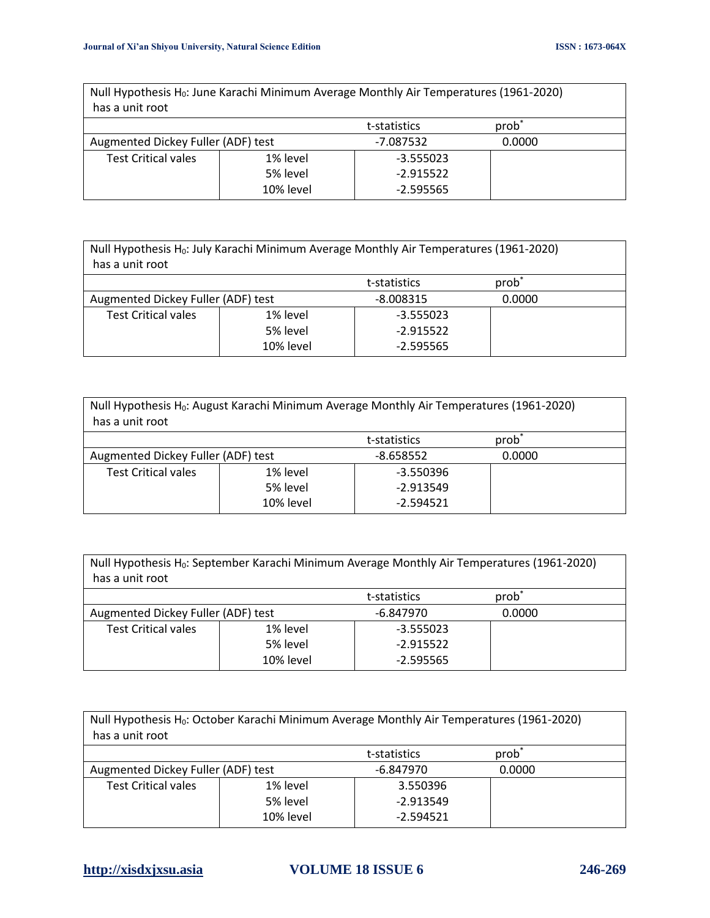| Null Hypothesis H <sub>0</sub> : June Karachi Minimum Average Monthly Air Temperatures (1961-2020)<br>has a unit root |          |              |                   |  |  |
|-----------------------------------------------------------------------------------------------------------------------|----------|--------------|-------------------|--|--|
|                                                                                                                       |          | t-statistics | prob <sup>*</sup> |  |  |
| Augmented Dickey Fuller (ADF) test                                                                                    |          | -7.087532    | 0.0000            |  |  |
| <b>Test Critical vales</b>                                                                                            | 1% level | $-3.555023$  |                   |  |  |
|                                                                                                                       | 5% level | $-2.915522$  |                   |  |  |
| 10% level<br>$-2.595565$                                                                                              |          |              |                   |  |  |

| Null Hypothesis H <sub>0</sub> : July Karachi Minimum Average Monthly Air Temperatures (1961-2020) |          |             |  |  |
|----------------------------------------------------------------------------------------------------|----------|-------------|--|--|
| has a unit root                                                                                    |          |             |  |  |
| prob<br>t-statistics                                                                               |          |             |  |  |
| Augmented Dickey Fuller (ADF) test<br>$-8.008315$                                                  |          | 0.0000      |  |  |
| <b>Test Critical vales</b>                                                                         | 1% level | $-3.555023$ |  |  |
|                                                                                                    | 5% level | $-2.915522$ |  |  |
| 10% level<br>$-2.595565$                                                                           |          |             |  |  |

| Null Hypothesis H <sub>0</sub> : August Karachi Minimum Average Monthly Air Temperatures (1961-2020)<br>has a unit root |          |             |        |  |
|-------------------------------------------------------------------------------------------------------------------------|----------|-------------|--------|--|
| prob <sup>*</sup><br>t-statistics                                                                                       |          |             |        |  |
| Augmented Dickey Fuller (ADF) test                                                                                      |          | $-8.658552$ | 0.0000 |  |
| <b>Test Critical vales</b>                                                                                              | 1% level | $-3.550396$ |        |  |
|                                                                                                                         | 5% level | $-2.913549$ |        |  |
| 10% level<br>$-2.594521$                                                                                                |          |             |        |  |

| Null Hypothesis H <sub>0</sub> : September Karachi Minimum Average Monthly Air Temperatures (1961-2020)<br>has a unit root |          |             |        |  |
|----------------------------------------------------------------------------------------------------------------------------|----------|-------------|--------|--|
| prob <sup>-</sup><br>t-statistics                                                                                          |          |             |        |  |
| Augmented Dickey Fuller (ADF) test                                                                                         |          | $-6.847970$ | 0.0000 |  |
| <b>Test Critical vales</b>                                                                                                 | 1% level | $-3.555023$ |        |  |
|                                                                                                                            | 5% level | $-2.915522$ |        |  |
| 10% level<br>$-2.595565$                                                                                                   |          |             |        |  |

| Null Hypothesis H <sub>0</sub> : October Karachi Minimum Average Monthly Air Temperatures (1961-2020)<br>has a unit root |          |             |        |  |
|--------------------------------------------------------------------------------------------------------------------------|----------|-------------|--------|--|
| prob <sup>*</sup><br>t-statistics                                                                                        |          |             |        |  |
| Augmented Dickey Fuller (ADF) test                                                                                       |          | $-6.847970$ | 0.0000 |  |
| <b>Test Critical vales</b>                                                                                               | 1% level | 3.550396    |        |  |
|                                                                                                                          | 5% level | $-2.913549$ |        |  |
| 10% level<br>$-2.594521$                                                                                                 |          |             |        |  |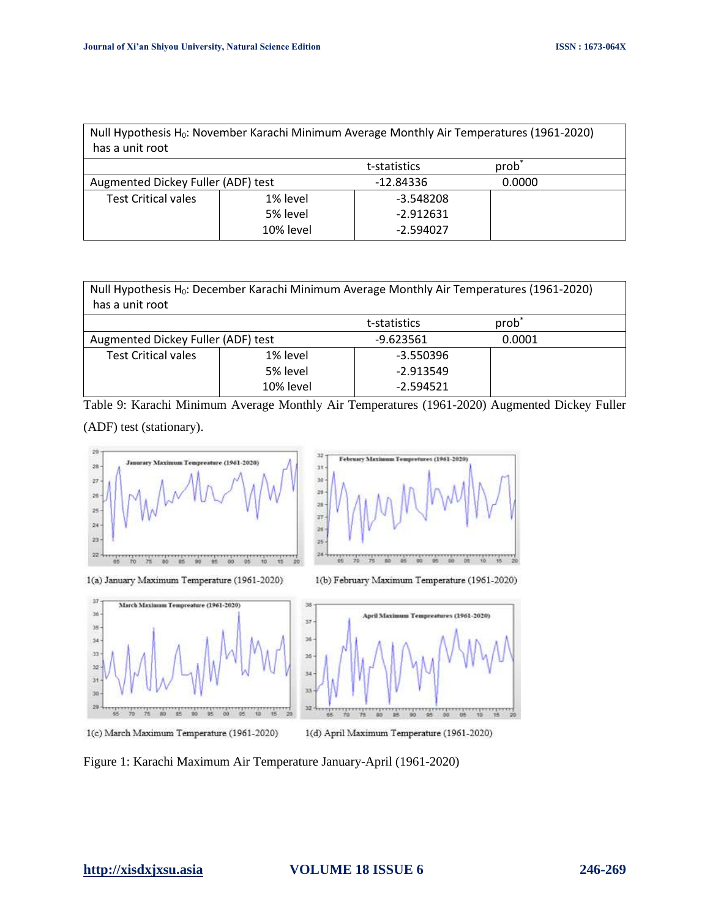| Null Hypothesis H <sub>0</sub> : November Karachi Minimum Average Monthly Air Temperatures (1961-2020)<br>has a unit root |           |             |        |  |
|---------------------------------------------------------------------------------------------------------------------------|-----------|-------------|--------|--|
| prob <sup>-</sup><br>t-statistics                                                                                         |           |             |        |  |
| Augmented Dickey Fuller (ADF) test                                                                                        |           | -12.84336   | 0.0000 |  |
| <b>Test Critical vales</b>                                                                                                | 1% level  | $-3.548208$ |        |  |
|                                                                                                                           | 5% level  | $-2.912631$ |        |  |
|                                                                                                                           | 10% level | $-2.594027$ |        |  |

| Null Hypothesis H <sub>0</sub> : December Karachi Minimum Average Monthly Air Temperatures (1961-2020)<br>has a unit root |          |             |        |  |
|---------------------------------------------------------------------------------------------------------------------------|----------|-------------|--------|--|
| prob <sup>*</sup><br>t-statistics                                                                                         |          |             |        |  |
| Augmented Dickey Fuller (ADF) test                                                                                        |          | $-9.623561$ | 0.0001 |  |
| <b>Test Critical vales</b>                                                                                                | 1% level | $-3.550396$ |        |  |
|                                                                                                                           | 5% level | $-2.913549$ |        |  |
| 10% level<br>$-2.594521$                                                                                                  |          |             |        |  |

Table 9: Karachi Minimum Average Monthly Air Temperatures (1961-2020) Augmented Dickey Fuller (ADF) test (stationary).





1(a) January Maximum Temperature (1961-2020)





1(b) February Maximum Temperature (1961-2020)



1(d) April Maximum Temperature (1961-2020)

Figure 1: Karachi Maximum Air Temperature January-April (1961-2020)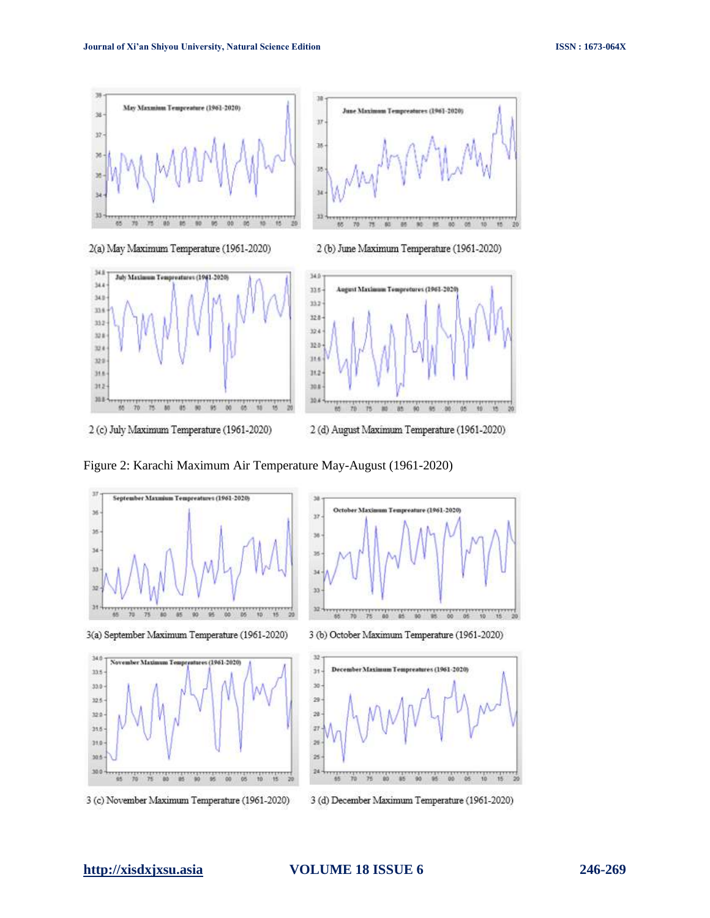

2 (c) July Maximum Temperature (1961-2020)

2 (d) August Maximum Temperature (1961-2020)

Figure 2: Karachi Maximum Air Temperature May-August (1961-2020)



3 (d) December Maximum Temperature (1961-2020)

3 (c) November Maximum Temperature (1961-2020)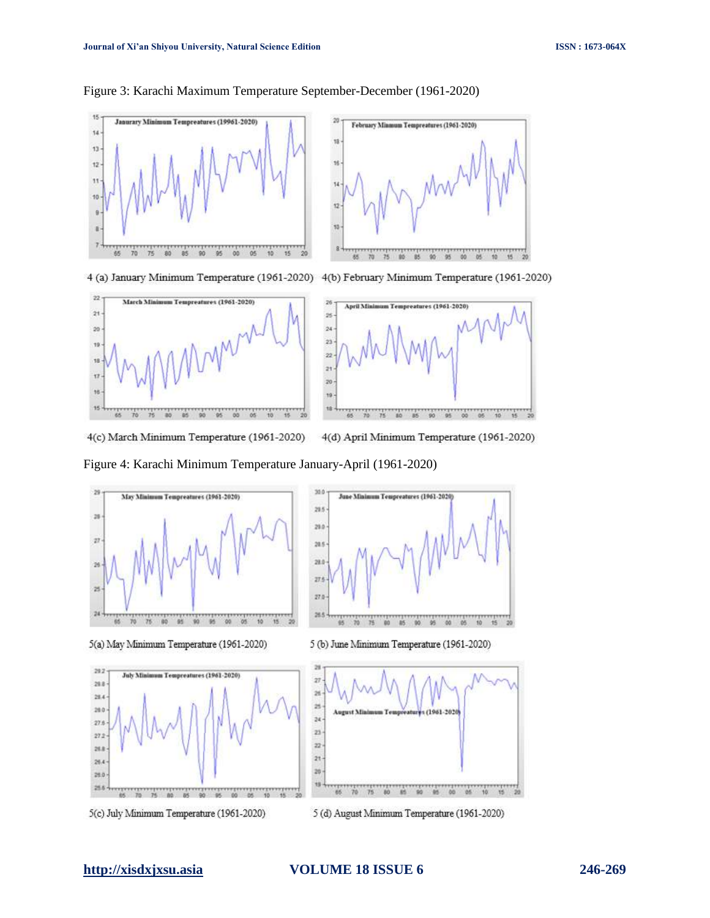

# Figure 3: Karachi Maximum Temperature September-December (1961-2020)

4 (a) January Minimum Temperature (1961-2020) 4(b) February Minimum Temperature (1961-2020)





4(c) March Minimum Temperature (1961-2020) 4(d) April Minimum Temperature (1961-2020)

Figure 4: Karachi Minimum Temperature January-April (1961-2020)

 $300$ 

 $215$ 



5(a) May Minimum Temperature (1961-2020)



5(c) July Minimum Temperature (1961-2020)



June Minimum Tempreatures (1961-2020)

5 (b) June Minimum Temperature (1961-2020)



5 (d) August Minimum Temperature (1961-2020)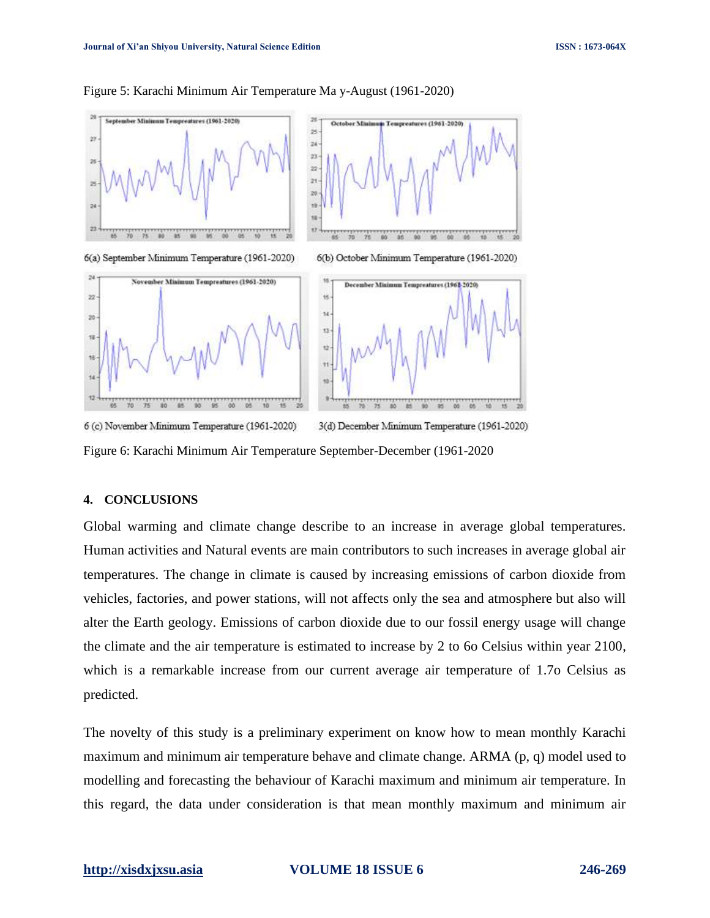

### Figure 5: Karachi Minimum Air Temperature Ma y-August (1961-2020)

Figure 6: Karachi Minimum Air Temperature September-December (1961-2020

# **4. CONCLUSIONS**

Global warming and climate change describe to an increase in average global temperatures. Human activities and Natural events are main contributors to such increases in average global air temperatures. The change in climate is caused by increasing emissions of carbon dioxide from vehicles, factories, and power stations, will not affects only the sea and atmosphere but also will alter the Earth geology. Emissions of carbon dioxide due to our fossil energy usage will change the climate and the air temperature is estimated to increase by 2 to 6o Celsius within year 2100, which is a remarkable increase from our current average air temperature of 1.7o Celsius as predicted.

The novelty of this study is a preliminary experiment on know how to mean monthly Karachi maximum and minimum air temperature behave and climate change. ARMA (p, q) model used to modelling and forecasting the behaviour of Karachi maximum and minimum air temperature. In this regard, the data under consideration is that mean monthly maximum and minimum air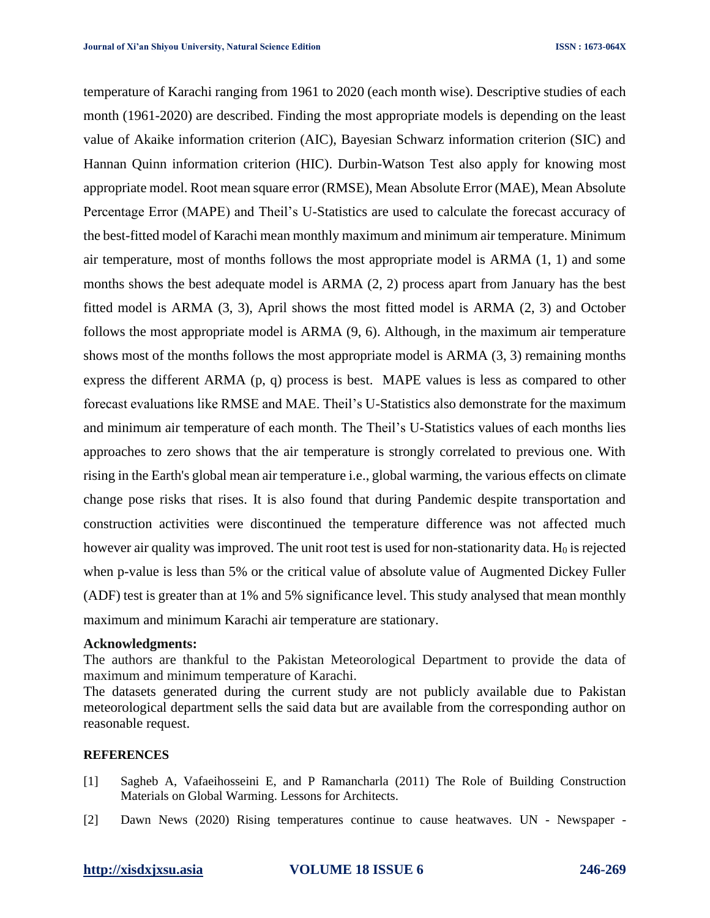temperature of Karachi ranging from 1961 to 2020 (each month wise). Descriptive studies of each month (1961-2020) are described. Finding the most appropriate models is depending on the least value of Akaike information criterion (AIC), Bayesian Schwarz information criterion (SIC) and Hannan Quinn information criterion (HIC). Durbin-Watson Test also apply for knowing most appropriate model. Root mean square error (RMSE), Mean Absolute Error (MAE), Mean Absolute Percentage Error (MAPE) and Theil's U-Statistics are used to calculate the forecast accuracy of the best-fitted model of Karachi mean monthly maximum and minimum air temperature. Minimum air temperature, most of months follows the most appropriate model is ARMA (1, 1) and some months shows the best adequate model is ARMA (2, 2) process apart from January has the best fitted model is ARMA (3, 3), April shows the most fitted model is ARMA (2, 3) and October follows the most appropriate model is ARMA (9, 6). Although, in the maximum air temperature shows most of the months follows the most appropriate model is ARMA (3, 3) remaining months express the different ARMA (p, q) process is best. MAPE values is less as compared to other forecast evaluations like RMSE and MAE. Theil's U-Statistics also demonstrate for the maximum and minimum air temperature of each month. The Theil's U-Statistics values of each months lies approaches to zero shows that the air temperature is strongly correlated to previous one. With rising in the Earth's global mean air temperature i.e., global warming, the various effects on climate change pose risks that rises. It is also found that during Pandemic despite transportation and construction activities were discontinued the temperature difference was not affected much however air quality was improved. The unit root test is used for non-stationarity data.  $H_0$  is rejected when p-value is less than 5% or the critical value of absolute value of Augmented Dickey Fuller (ADF) test is greater than at 1% and 5% significance level. This study analysed that mean monthly maximum and minimum Karachi air temperature are stationary.

# **Acknowledgments:**

The authors are thankful to the Pakistan Meteorological Department to provide the data of maximum and minimum temperature of Karachi.

The datasets generated during the current study are not publicly available due to Pakistan meteorological department sells the said data but are available from the corresponding author on reasonable request.

# **REFERENCES**

- [1] Sagheb A, Vafaeihosseini E, and P Ramancharla (2011) The Role of Building Construction Materials on Global Warming. Lessons for Architects.
- [2] Dawn News (2020) Rising temperatures continue to cause heatwaves. UN Newspaper -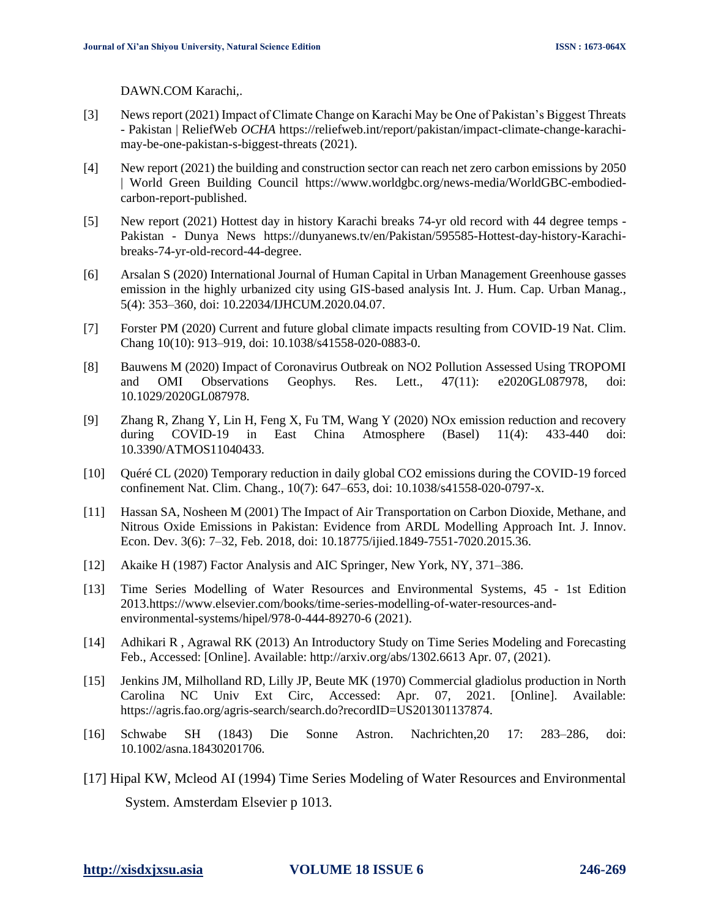DAWN.COM Karachi,.

- [3] News report (2021) Impact of Climate Change on Karachi May be One of Pakistan's Biggest Threats - Pakistan | ReliefWeb *OCHA* https://reliefweb.int/report/pakistan/impact-climate-change-karachimay-be-one-pakistan-s-biggest-threats (2021).
- [4] New report (2021) the building and construction sector can reach net zero carbon emissions by 2050 | World Green Building Council https://www.worldgbc.org/news-media/WorldGBC-embodiedcarbon-report-published.
- [5] New report (2021) Hottest day in history Karachi breaks 74-yr old record with 44 degree temps Pakistan - Dunya News https://dunyanews.tv/en/Pakistan/595585-Hottest-day-history-Karachibreaks-74-yr-old-record-44-degree.
- [6] Arsalan S (2020) International Journal of Human Capital in Urban Management Greenhouse gasses emission in the highly urbanized city using GIS-based analysis Int. J. Hum. Cap. Urban Manag*.*, 5(4): 353–360, doi: 10.22034/IJHCUM.2020.04.07.
- [7] Forster PM (2020) Current and future global climate impacts resulting from COVID-19 Nat. Clim. Chang 10(10): 913–919, doi: 10.1038/s41558-020-0883-0.
- [8] Bauwens M (2020) Impact of Coronavirus Outbreak on NO2 Pollution Assessed Using TROPOMI and OMI Observations Geophys. Res. Lett., 47(11): e2020GL087978, doi: 10.1029/2020GL087978.
- [9] Zhang R, Zhang Y, Lin H, Feng X, Fu TM, Wang Y (2020) NOx emission reduction and recovery during COVID-19 in East China Atmosphere (Basel) 11(4): 433-440 doi: 10.3390/ATMOS11040433.
- [10] Quéré CL (2020) Temporary reduction in daily global CO2 emissions during the COVID-19 forced confinement Nat. Clim. Chang., 10(7): 647–653, doi: 10.1038/s41558-020-0797-x.
- [11] Hassan SA, Nosheen M (2001) The Impact of Air Transportation on Carbon Dioxide, Methane, and Nitrous Oxide Emissions in Pakistan: Evidence from ARDL Modelling Approach Int. J. Innov. Econ. Dev. 3(6): 7–32, Feb. 2018, doi: 10.18775/ijied.1849-7551-7020.2015.36.
- [12] Akaike H (1987) Factor Analysis and AIC Springer, New York, NY, 371–386.
- [13] Time Series Modelling of Water Resources and Environmental Systems, 45 1st Edition 2013.https://www.elsevier.com/books/time-series-modelling-of-water-resources-andenvironmental-systems/hipel/978-0-444-89270-6 (2021).
- [14] Adhikari R , Agrawal RK (2013) An Introductory Study on Time Series Modeling and Forecasting Feb., Accessed: [Online]. Available: http://arxiv.org/abs/1302.6613 Apr. 07, (2021).
- [15] Jenkins JM, Milholland RD, Lilly JP, Beute MK (1970) Commercial gladiolus production in North Carolina NC Univ Ext Circ, Accessed: Apr. 07, 2021. [Online]. Available: https://agris.fao.org/agris-search/search.do?recordID=US201301137874.
- [16] Schwabe SH (1843) Die Sonne Astron. Nachrichten,20 17: 283–286, doi: 10.1002/asna.18430201706.
- [17] Hipal KW, Mcleod AI (1994) Time Series Modeling of Water Resources and Environmental System. Amsterdam Elsevier p 1013.